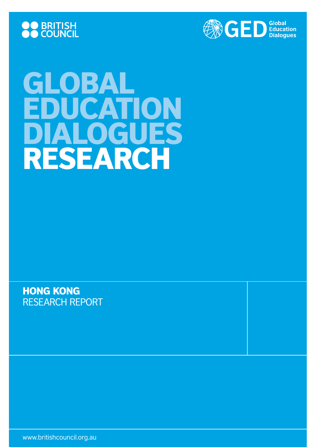



# GLOBAL EDUCATION DIALOGUES research

hong kong research report

www.britishcouncil.org.au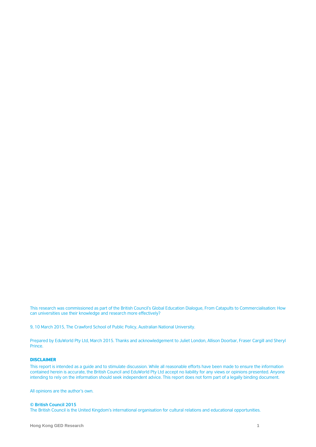This research was commissioned as part of the British Council's Global Education Dialogue, From Catapults to Commercialisation: How can universities use their knowledge and research more effectively?

9, 10 March 2015, The Crawford School of Public Policy, Australian National University.

Prepared by EduWorld Pty Ltd, March 2015. Thanks and acknowledgement to Juliet London, Allison Doorbar, Fraser Cargill and Sheryl Prince.

#### DISCLAIMER

This report is intended as a guide and to stimulate discussion. While all reasonable efforts have been made to ensure the information contained herein is accurate, the British Council and EduWorld Pty Ltd accept no liability for any views or opinions presented. Anyone intending to rely on the information should seek independent advice. This report does not form part of a legally binding document.

All opinions are the author's own.

#### **© British Council 2015**

The British Council is the United Kingdom's international organisation for cultural relations and educational opportunities.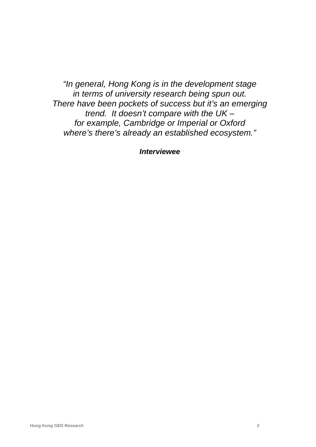*"In general, Hong Kong is in the development stage in terms of university research being spun out. There have been pockets of success but it's an emerging trend. It doesn't compare with the UK – for example, Cambridge or Imperial or Oxford where's there's already an established ecosystem."*

*Interviewee*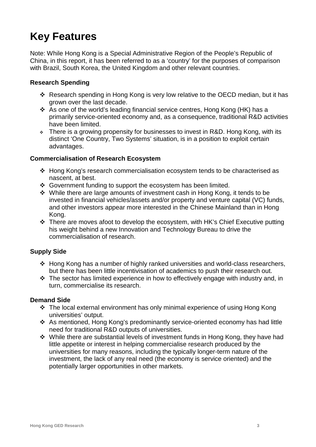# **Key Features**

Note: While Hong Kong is a Special Administrative Region of the People's Republic of China, in this report, it has been referred to as a 'country' for the purposes of comparison with Brazil, South Korea, the United Kingdom and other relevant countries.

#### **Research Spending**

- Research spending in Hong Kong is very low relative to the OECD median, but it has grown over the last decade.
- As one of the world's leading financial service centres, Hong Kong (HK) has a primarily service-oriented economy and, as a consequence, traditional R&D activities have been limited.
- $\cdot$  There is a growing propensity for businesses to invest in R&D. Hong Kong, with its distinct 'One Country, Two Systems' situation, is in a position to exploit certain advantages.

#### **Commercialisation of Research Ecosystem**

- Hong Kong's research commercialisation ecosystem tends to be characterised as nascent, at best.
- ❖ Government funding to support the ecosystem has been limited.
- While there are large amounts of investment cash in Hong Kong, it tends to be invested in financial vehicles/assets and/or property and venture capital (VC) funds, and other investors appear more interested in the Chinese Mainland than in Hong Kong.
- There are moves afoot to develop the ecosystem, with HK's Chief Executive putting his weight behind a new Innovation and Technology Bureau to drive the commercialisation of research.

#### **Supply Side**

- Hong Kong has a number of highly ranked universities and world-class researchers, but there has been little incentivisation of academics to push their research out.
- $\cdot \cdot$  The sector has limited experience in how to effectively engage with industry and, in turn, commercialise its research.

#### **Demand Side**

- The local external environment has only minimal experience of using Hong Kong universities' output.
- As mentioned, Hong Kong's predominantly service-oriented economy has had little need for traditional R&D outputs of universities.
- \* While there are substantial levels of investment funds in Hong Kong, they have had little appetite or interest in helping commercialise research produced by the universities for many reasons, including the typically longer-term nature of the investment, the lack of any real need (the economy is service oriented) and the potentially larger opportunities in other markets.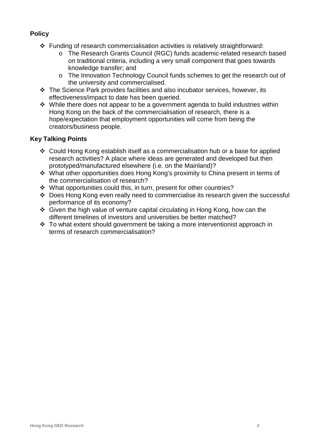**Policy**

- Funding of research commercialisation activities is relatively straightforward:
	- o The Research Grants Council (RGC) funds academic-related research based on traditional criteria, including a very small component that goes towards knowledge transfer; and
	- o The Innovation Technology Council funds schemes to get the research out of the university and commercialised.
- The Science Park provides facilities and also incubator services, however, its effectiveness/impact to date has been queried.
- $\div$  While there does not appear to be a government agenda to build industries within Hong Kong on the back of the commercialisation of research, there is a hope/expectation that employment opportunities will come from being the creators/business people.

#### **Key Talking Points**

- Could Hong Kong establish itself as a commercialisation hub or a base for applied research activities? A place where ideas are generated and developed but then prototyped/manufactured elsewhere (i.e. on the Mainland)?
- What other opportunities does Hong Kong's proximity to China present in terms of the commercialisation of research?
- What opportunities could this, in turn, present for other countries?
- Does Hong Kong even really need to commercialise its research given the successful performance of its economy?
- Given the high value of venture capital circulating in Hong Kong, how can the different timelines of investors and universities be better matched?
- To what extent should government be taking a more interventionist approach in terms of research commercialisation?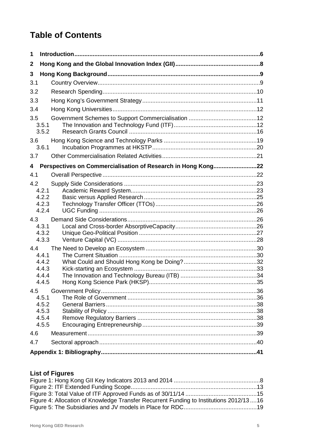# **Table of Contents**

| 1   |                                                              |  |
|-----|--------------------------------------------------------------|--|
| 2   |                                                              |  |
| 3   |                                                              |  |
| 3.1 |                                                              |  |
| 3.2 |                                                              |  |
| 3.3 |                                                              |  |
| 3.4 |                                                              |  |
| 3.5 | 3.5.1<br>3.5.2                                               |  |
| 3.6 | 3.6.1                                                        |  |
| 3.7 |                                                              |  |
| 4   | Perspectives on Commercialisation of Research in Hong Kong22 |  |
| 4.1 |                                                              |  |
| 4.2 | 4.2.1<br>4.2.2<br>4.2.3<br>4.2.4                             |  |
| 4.3 | 4.3.1<br>4.3.2<br>4.3.3                                      |  |
| 4.4 | 4.4.1<br>4.4.2<br>4.4.3<br>4.4.4<br>4.4.5                    |  |
| 4.5 |                                                              |  |
|     | 4.5.1<br>4.5.2<br>4.5.3<br>4.5.4<br>4.5.5                    |  |
| 4.6 |                                                              |  |
| 4.7 |                                                              |  |
|     |                                                              |  |

# **List of Figures**

| Figure 4: Allocation of Knowledge Transfer Recurrent Funding to Institutions 2012/1316 |  |
|----------------------------------------------------------------------------------------|--|
|                                                                                        |  |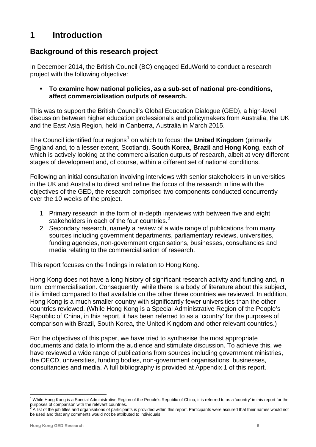# **1 Introduction**

# **Background of this research project**

In December 2014, the British Council (BC) engaged EduWorld to conduct a research project with the following objective:

#### **To examine how national policies, as a sub-set of national pre-conditions, affect commercialisation outputs of research.**

This was to support the British Council's Global Education Dialogue (GED), a high-level discussion between higher education professionals and policymakers from Australia, the UK and the East Asia Region, held in Canberra, Australia in March 2015.

The Council identified four regions<sup>[1](#page-6-0)</sup> on which to focus: the **United Kingdom** (primarily England and, to a lesser extent, Scotland), **South Korea**, **Brazil** and **Hong Kong**, each of which is actively looking at the commercialisation outputs of research, albeit at very different stages of development and, of course, within a different set of national conditions.

Following an initial consultation involving interviews with senior stakeholders in universities in the UK and Australia to direct and refine the focus of the research in line with the objectives of the GED, the research comprised two components conducted concurrently over the 10 weeks of the project.

- 1. Primary research in the form of in-depth interviews with between five and eight stakeholders in each of the four countries.<sup>[2](#page-6-1)</sup>
- 2. Secondary research, namely a review of a wide range of publications from many sources including government departments, parliamentary reviews, universities, funding agencies, non-government organisations, businesses, consultancies and media relating to the commercialisation of research.

This report focuses on the findings in relation to Hong Kong.

Hong Kong does not have a long history of significant research activity and funding and, in turn, commercialisation. Consequently, while there is a body of literature about this subject, it is limited compared to that available on the other three countries we reviewed. In addition, Hong Kong is a much smaller country with significantly fewer universities than the other countries reviewed. (While Hong Kong is a Special Administrative Region of the People's Republic of China, in this report, it has been referred to as a 'country' for the purposes of comparison with Brazil, South Korea, the United Kingdom and other relevant countries.)

For the objectives of this paper, we have tried to synthesise the most appropriate documents and data to inform the audience and stimulate discussion. To achieve this, we have reviewed a wide range of publications from sources including government ministries, the OECD, universities, funding bodies, non-government organisations, businesses, consultancies and media. A full bibliography is provided at Appendix 1 of this report.

<span id="page-6-0"></span><sup>&</sup>lt;sup>1</sup> While Hong Kong is a Special Administrative Region of the People's Republic of China, it is referred to as a 'country' in this report for the purposes of comparison with the relevant countries.

<span id="page-6-1"></span><sup>2</sup> A list of the job titles and organisations of participants is provided within this report. Participants were assured that their names would not be used and that any comments would not be attributed to individuals.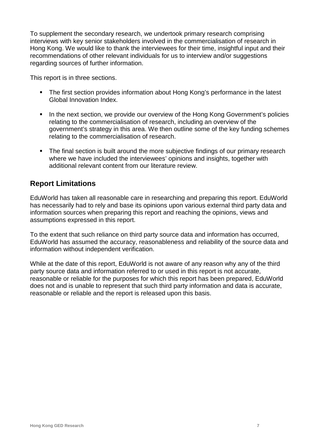To supplement the secondary research, we undertook primary research comprising interviews with key senior stakeholders involved in the commercialisation of research in Hong Kong. We would like to thank the interviewees for their time, insightful input and their recommendations of other relevant individuals for us to interview and/or suggestions regarding sources of further information.

This report is in three sections.

- **The first section provides information about Hong Kong's performance in the latest** Global Innovation Index.
- In the next section, we provide our overview of the Hong Kong Government's policies relating to the commercialisation of research, including an overview of the government's strategy in this area. We then outline some of the key funding schemes relating to the commercialisation of research.
- The final section is built around the more subjective findings of our primary research where we have included the interviewees' opinions and insights, together with additional relevant content from our literature review.

# **Report Limitations**

EduWorld has taken all reasonable care in researching and preparing this report. EduWorld has necessarily had to rely and base its opinions upon various external third party data and information sources when preparing this report and reaching the opinions, views and assumptions expressed in this report.

To the extent that such reliance on third party source data and information has occurred, EduWorld has assumed the accuracy, reasonableness and reliability of the source data and information without independent verification.

While at the date of this report, EduWorld is not aware of any reason why any of the third party source data and information referred to or used in this report is not accurate, reasonable or reliable for the purposes for which this report has been prepared, EduWorld does not and is unable to represent that such third party information and data is accurate, reasonable or reliable and the report is released upon this basis.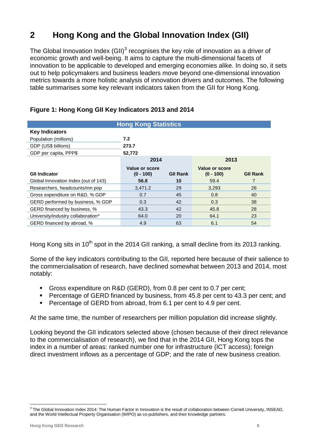# **2 Hong Kong and the Global Innovation Index (GII)**

The Global Innovation Index  $(GII)^3$  $(GII)^3$  recognises the key role of innovation as a driver of economic growth and well-being. It aims to capture the multi-dimensional facets of innovation to be applicable to developed and emerging economies alike. In doing so, it sets out to help policymakers and business leaders move beyond one-dimensional innovation metrics towards a more holistic analysis of innovation drivers and outcomes. The following table summarises some key relevant indicators taken from the GII for Hong Kong.

| <b>Hong Kong Statistics</b>          |                               |                 |                               |                 |  |
|--------------------------------------|-------------------------------|-----------------|-------------------------------|-----------------|--|
| <b>Key Indicators</b>                |                               |                 |                               |                 |  |
| 7.2<br>Population (millions)         |                               |                 |                               |                 |  |
| GDP (US\$ billions)<br>273.7         |                               |                 |                               |                 |  |
| GDP per capita, PPP\$                | 52,772                        |                 |                               |                 |  |
|                                      | 2014                          |                 | 2013                          |                 |  |
| <b>GII Indicator</b>                 | Value or score<br>$(0 - 100)$ | <b>GII Rank</b> | Value or score<br>$(0 - 100)$ | <b>GII Rank</b> |  |
| Global Innovation Index (out of 143) | 56.8                          | 10              | 59.4                          | 7               |  |
| Researchers, headcounts/mn pop       | 3,471.2                       | 29              | 3,293                         | 26              |  |
| Gross expenditure on R&D, % GDP      | 0.7                           | 45              | 0.8                           | 40              |  |
| GERD performed by business, % GDP    | 0.3                           | 42              | 0.3                           | 38              |  |
| GERD financed by business, %         | 43.3                          | 42              | 45.8                          | 28              |  |
| University/industry collaboration^   | 64.0                          | 20              | 64.1                          | 23              |  |
| GERD financed by abroad, %           | 4.9                           | 63              | 6.1                           | 54              |  |

#### **Figure 1: Hong Kong GII Key Indicators 2013 and 2014**

Hong Kong sits in 10<sup>th</sup> spot in the 2014 GII ranking, a small decline from its 2013 ranking.

Some of the key indicators contributing to the GII, reported here because of their salience to the commercialisation of research, have declined somewhat between 2013 and 2014, most notably:

- Gross expenditure on R&D (GERD), from 0.8 per cent to 0.7 per cent;
- **Percentage of GERD financed by business, from 45.8 per cent to 43.3 per cent; and**
- Percentage of GERD from abroad, from 6.1 per cent to 4.9 per cent.

At the same time, the number of researchers per million population did increase slightly.

Looking beyond the GII indicators selected above (chosen because of their direct relevance to the commercialisation of research), we find that in the 2014 GII, Hong Kong tops the index in a number of areas: ranked number one for infrastructure (ICT access); foreign direct investment inflows as a percentage of GDP; and the rate of new business creation.

<span id="page-8-0"></span><sup>&</sup>lt;sup>3</sup> The Global Innovation Index 2014: The Human Factor in Innovation is the result of collaboration between Cornell University, INSEAD, and the World Intellectual Property Organisation (WIPO) as co-publishers, and their knowledge partners.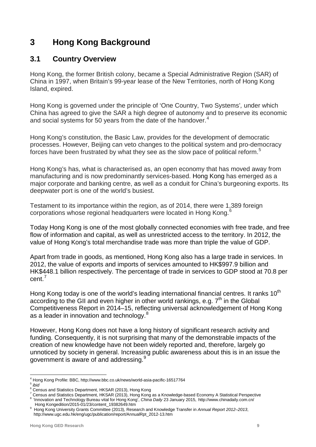# **3 Hong Kong Background**

## **3.1 Country Overview**

Hong Kong, the former British colony, became a Special Administrative Region (SAR) of China in 1997, when Britain's 99-year lease of the New Territories, north of Hong Kong Island, expired.

Hong Kong is governed under the principle of 'One Country, Two Systems'*,* under which China has agreed to give the SAR a high degree of autonomy and to preserve its economic and social systems for 50 years from the date of the handover.<sup>[4](#page-9-0)</sup>

Hong Kong's constitution, the Basic Law, provides for the development of democratic processes. However, Beijing can veto changes to the political system and pro-democracy forces have been frustrated by what they see as the slow pace of political reform.<sup>[5](#page-9-1)</sup>

Hong Kong's has, what is characterised as, an open economy that has moved away from manufacturing and is now predominantly services-based. Hong Kong has emerged as a major corporate and banking centre, as well as a conduit for China's burgeoning exports. Its deepwater port is one of the world's busiest.

Testament to its importance within the region, as of 2014, there were 1,389 foreign corporations whose regional headquarters were located in Hong Kong.<sup>[6](#page-9-2)</sup>

Today Hong Kong is one of the most globally connected economies with free trade, and free flow of information and capital, as well as unrestricted access to the territory. In 2012, the value of Hong Kong's total merchandise trade was more than triple the value of GDP.

Apart from trade in goods, as mentioned, Hong Kong also has a large trade in services. In 2012, the value of exports and imports of services amounted to HK\$997.9 billion and HK\$448.1 billion respectively. The percentage of trade in services to GDP stood at 70.8 per cent.[7](#page-9-3)

Hong Kong today is one of the world's leading international [financial centres.](http://en.wikipedia.org/wiki/Financial_centre) It ranks  $10<sup>th</sup>$ according to the GII and even higher in other world rankings, e.g.  $7<sup>th</sup>$  in the Global Competitiveness Report in 2014–15, reflecting universal acknowledgement of Hong Kong as a leader in innovation and technology.<sup>[8](#page-9-4)</sup>

However, Hong Kong does not have a long history of significant research activity and funding. Consequently, it is not surprising that many of the demonstrable impacts of the creation of new knowledge have not been widely reported and, therefore, largely go unnoticed by society in general. Increasing public awareness about this is in an issue the government is aware of and addressing.<sup>[9](#page-9-5)</sup>

<span id="page-9-1"></span><span id="page-9-0"></span><sup>4</sup> Hong Kong Profile: BBC, http://www.bbc.co.uk/news/world-asia-pacific-16517764 <sup>5</sup> *ibid*

<span id="page-9-3"></span><span id="page-9-2"></span><sup>&</sup>lt;sup>6</sup> Census and Statistics Department, HKSAR (2013), Hong Kong<br><sup>7</sup> Census and Statistics Department, HKSAR (2013), Hong Kong as a Knowledge-based Economy A Statistical Perspective <sup>8</sup> 'Innovation and Technology Bureau vital for Hong Kong', China Daily 23 January 2015, [http://www.chinadaily.com.cn/](http://www.chinadaily.com.cn/%20%20%20%20Hong%20Kongedition/2015-01/23/content_19382649.htm)<br>Hong Kongedition/2015-01/23/content\_19382649.htm

<span id="page-9-4"></span>

<span id="page-9-5"></span><sup>&</sup>lt;sup>9</sup> Hong Kong University Grants Committee (2013), Research and Knowledge Transfer in Annual Report 2012–2013, http://www.ugc.edu.hk/eng/ugc/publication/report/AnnualRpt\_2012-13.htm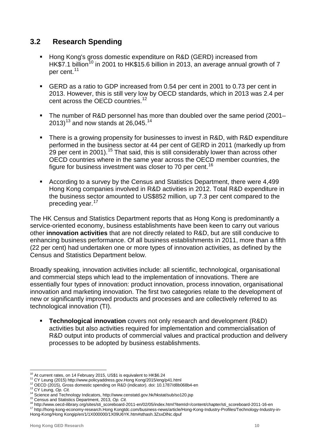# **3.2 Research Spending**

- **Hong Kong's gross domestic expenditure on R&D (GERD) increased from** HK $\overline{57}$ .1 billion<sup>[10](#page-10-0)</sup> in 2001 to HK\$15.6 billion in 2013, an average annual growth of 7 per cent.<sup>[11](#page-10-1)</sup>
- GERD as a ratio to GDP increased from 0.54 per cent in 2001 to 0.73 per cent in 2013. However, this is still very low by OECD standards, which in 2013 was 2.4 per cent across the OECD countries.<sup>[12](#page-10-2)</sup>
- The number of R&D personnel has more than doubled over the same period (2001– 20[13](#page-10-3)) $^{\rm 13}$  and now stands at 26,045. $^{\rm 14}$  $^{\rm 14}$  $^{\rm 14}$
- There is a growing propensity for businesses to invest in R&D, with R&D expenditure performed in the business sector at 44 per cent of GERD in 2011 (markedly up from 29 per cent in 2001).<sup>[15](#page-10-5)</sup> That said, this is still considerably lower than across other OECD countries where in the same year across the OECD member countries, the figure for business investment was closer to 70 per cent.<sup>[16](#page-10-6)</sup>
- According to a survey by the Census and Statistics Department, there were 4,499 Hong Kong companies involved in R&D activities in 2012. Total R&D expenditure in the business sector amounted to US\$852 million, up 7.3 per cent compared to the preceding year.<sup>[17](#page-10-7)</sup>

The HK Census and Statistics Department reports that as Hong Kong is predominantly a service-oriented economy, business establishments have been keen to carry out various other **innovation activities** that are not directly related to R&D, but are still conducive to enhancing business performance. Of all business establishments in 2011, more than a fifth (22 per cent) had undertaken one or more types of innovation activities, as defined by the Census and Statistics Department below.

Broadly speaking, innovation activities include: all scientific, technological, organisational and commercial steps which lead to the implementation of innovations. There are essentially four types of innovation: product innovation, process innovation, organisational innovation and marketing innovation. The first two categories relate to the development of new or significantly improved products and processes and are collectively referred to as technological innovation (TI).

 **Technological innovation** covers not only research and development (R&D) activities but also activities required for implementation and commercialisation of R&D output into products of commercial values and practical production and delivery processes to be adopted by business establishments.

<span id="page-10-2"></span>

<span id="page-10-3"></span>

<span id="page-10-4"></span>

<span id="page-10-7"></span><span id="page-10-6"></span><span id="page-10-5"></span>

<span id="page-10-1"></span><span id="page-10-0"></span><sup>&</sup>lt;sup>10</sup> At current rates, on 14 February 2015, US\$1 is equivalent to HK\$6.24<br><sup>11</sup> CY Leung (2015[\) http://www.policyaddress.gov.Hong Kong/2015/eng/p41.html](http://www.policyaddress.gov.hk/2015/eng/p41.html)<br><sup>12</sup> OECD (2015), Gross domestic spending on R&D (indicator). doi: 10 [Hong-Kong/Hong Kongip/en/1/1X000000/1X09U6YK.htm#sthash.3ZsxDlNc.dpuf](http://hong-kong-economy-research.hktdc.com/business-news/article/Hong-Kong-Industry-Profiles/Technology-Industry-in-Hong-Kong/hkip/en/1/1X000000/1X09U6YK.htm#sthash.3ZsxDlNc.dpuf)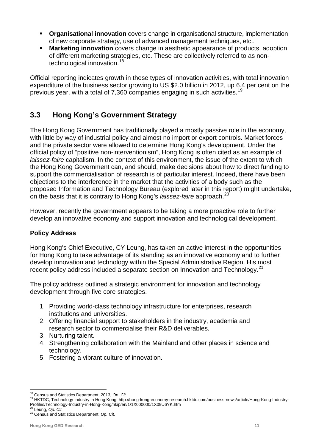- **Organisational innovation** covers change in organisational structure, implementation of new corporate strategy, use of advanced management techniques, etc..
- **Marketing innovation** covers change in aesthetic appearance of products, adoption of different marketing strategies, etc. These are collectively referred to as non-technological innovation.<sup>[18](#page-11-0)</sup>

Official reporting indicates growth in these types of innovation activities, with total innovation expenditure of the business sector growing to US \$2.0 billion in 2012, up 6.4 per cent on the previous year, with a total of 7,360 companies engaging in such activities.<sup>[19](#page-11-1)</sup>

# **3.3 Hong Kong's Government Strategy**

The Hong Kong Government has traditionally played a mostly passive role in the economy, with little by way of [industrial policy](http://en.wikipedia.org/wiki/Industrial_policy) and almost no [import or export controls.](http://en.wikipedia.org/wiki/Trade_restriction) Market forces and the private sector were allowed to determine Hong Kong's development. Under the official policy of ["positive non-interventionism"](http://en.wikipedia.org/wiki/Positive_non-interventionism), Hong Kong is often cited as an example of *laissez-faire* capitalism. In the context of this environment, the issue of the extent to which the Hong Kong Government can, and should, make decisions about how to direct funding to support the commercialisation of research is of particular interest. Indeed, there have been objections to the interference in the market that the activities of a body such as the proposed Information and Technology Bureau (explored later in this report) might undertake, on the basis that it is contrary to Hong Kong's *laissez-faire* approach. [20](#page-11-2)

However, recently the government appears to be taking a more proactive role to further develop an innovative economy and support innovation and technological development.

#### **Policy Address**

Hong Kong's Chief Executive, CY Leung, has taken an active interest in the opportunities for Hong Kong to take advantage of its standing as an innovative economy and to further develop innovation and technology within the Special Administrative Region. His most recent policy address included a separate section on Innovation and Technology.<sup>[21](#page-11-3)</sup>

The policy address outlined a strategic environment for innovation and technology development through five core strategies.

- 1. Providing world-class technology infrastructure for enterprises, research institutions and universities.
- 2. Offering financial support to stakeholders in the industry, academia and research sector to commercialise their R&D deliverables.
- 3. Nurturing talent.
- 4. Strengthening collaboration with the Mainland and other places in science and technology.
- 5. Fostering a vibrant culture of innovation.

<span id="page-11-1"></span><span id="page-11-0"></span>

<sup>--&</sup>lt;br><sup>18</sup> Census and Statistics Department, 2013, *Op. Cit.*<br><sup>19</sup> HKTDC, Technology Industry in Hong Kong, http://hong-kong-economy-research.hktdc.com/business-news/article/Hong-Kong-Industry-Profiles/Technology-Industry-in-Hong-Kong/hkip/en/1/1X000000/1X09U6YK.htm<br><sup>20</sup> Leung, *Op. Cit.*<br><sup>21</sup> Census and Statistics Department, *Op. Cit.* 

<span id="page-11-3"></span><span id="page-11-2"></span>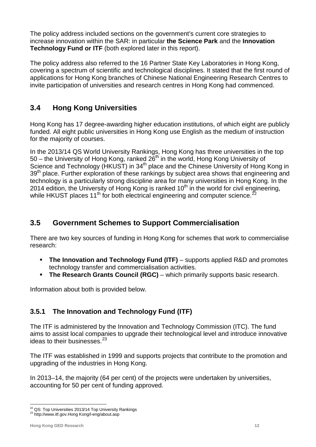The policy address included sections on the government's current core strategies to increase innovation within the SAR: in particular **the Science Park** and the **Innovation Technology Fund or ITF** (both explored later in this report).

The policy address also referred to the 16 Partner State Key Laboratories in Hong Kong, covering a spectrum of scientific and technological disciplines. It stated that the first round of applications for Hong Kong branches of Chinese National Engineering Research Centres to invite participation of universities and research centres in Hong Kong had commenced.

# **3.4 Hong Kong Universities**

Hong Kong has 17 degree-awarding higher education institutions, of which eight are publicly funded. All eight public universities in Hong Kong use English as the medium of instruction for the majority of courses.

In the 2013/14 [QS World University Rankings,](http://www.topuniversities.com/qs-world-university-rankings) Hong Kong has three universities in the top 50 – the University of Hong Kong, ranked 26<sup>th</sup> in the world, Hong Kong University of Science and Technology (HKUST) in 34<sup>th</sup> place and the Chinese University of Hong Kong in 39<sup>th</sup> place. Further exploration of these rankings by subject area shows that engineering and technology is a particularly strong discipline area for many universities in Hong Kong. In the 2014 edition, the University of Hong Kong is ranked  $10<sup>th</sup>$  in the world for civil engineering, while HKUST places 11<sup>th</sup> for both electrical engineering and computer science.<sup>[22](#page-12-0)</sup>

# **3.5 Government Schemes to Support Commercialisation**

There are two key sources of funding in Hong Kong for schemes that work to commercialise research:

- **The Innovation and Technology Fund (ITF)** supports applied R&D and promotes technology transfer and commercialisation activities.
- **The Research Grants Council (RGC)** which primarily supports basic research.

Information about both is provided below.

# **3.5.1 The Innovation and Technology Fund (ITF)**

The ITF is administered by the Innovation and Technology Commission (ITC). The fund aims to assist local companies to upgrade their technological level and introduce innovative ideas to their businesses.<sup>[23](#page-12-1)</sup>

The ITF was established in 1999 and supports projects that contribute to the promotion and upgrading of the industries in Hong Kong.

In 2013–14, the majority (64 per cent) of the projects were undertaken by universities, accounting for 50 per cent of funding approved.

<span id="page-12-0"></span> $^{22}$  QS: Top Universities 2013/14 Top University Rankings  $^{23}$  http://www.itf.gov.Hong Kong/l-eng/about.asp

<span id="page-12-1"></span>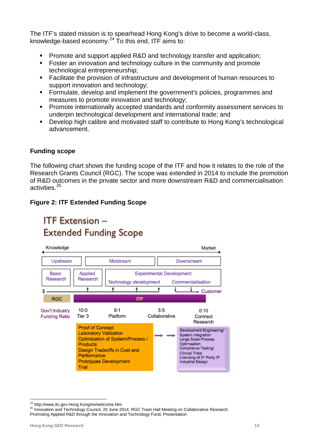The ITF's stated mission is to spearhead Hong Kong's drive to become a world-class, knowledge-based economy.<sup>[24](#page-13-0)</sup> To this end, ITF aims to:

- Promote and support applied R&D and technology transfer and application;
- **Foster an innovation and technology culture in the community and promote** technological entrepreneurship;
- Facilitate the provision of infrastructure and development of human resources to support innovation and technology;
- Formulate, develop and implement the government's policies, programmes and measures to promote innovation and technology;
- Promote internationally accepted standards and conformity assessment services to underpin technological development and international trade; and
- Develop high calibre and motivated staff to contribute to Hong Kong's technological advancement.

#### **Funding scope**

The following chart shows the funding scope of the ITF and how it relates to the role of the Research Grants Council (RGC). The scope was extended in 2014 to include the promotion of R&D outcomes in the private sector and more downstream R&D and commercialisation activities. [25](#page-13-1)

#### **Figure 2: ITF Extended Funding Scope**

# **ITF Extension -Extended Funding Scope**



<span id="page-13-1"></span><span id="page-13-0"></span><sup>&</sup>lt;sup>24</sup> [http://www.itc.gov.Hong Kong/en/welcome.htm](http://www.itc.gov.hk/en/welcome.htm)<br><sup>25</sup> Innovation and Technology Council, 20 June 2014: RGC Town Hall Meeting on Collaborative Research Promoting Applied R&D through the Innovation and Technology Fund, Presentation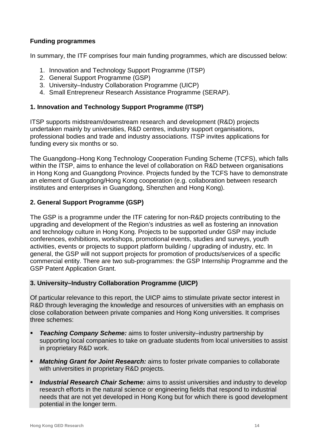#### **Funding programmes**

In summary, the ITF comprises four main funding programmes, which are discussed below:

- 1. Innovation and Technology Support Programme (ITSP)
- 2. General Support Programme (GSP)
- 3. University–Industry Collaboration Programme (UICP)
- 4. Small Entrepreneur Research Assistance Programme (SERAP).

#### **1. Innovation and Technology Support Programme (ITSP)**

ITSP supports midstream/downstream research and development (R&D) projects undertaken mainly by universities, R&D centres, industry support organisations, professional bodies and trade and industry associations. ITSP invites applications for funding every six months or so.

The Guangdong–Hong Kong Technology Cooperation Funding Scheme (TCFS), which falls within the ITSP, aims to enhance the level of collaboration on R&D between organisations in Hong Kong and Guangdong Province. Projects funded by the TCFS have to demonstrate an element of Guangdong/Hong Kong cooperation (e.g. collaboration between research institutes and enterprises in Guangdong, Shenzhen and Hong Kong).

#### **2. General Support Programme (GSP)**

The GSP is a programme under the ITF catering for non-R&D projects contributing to the upgrading and development of the Region's industries as well as fostering an innovation and technology culture in Hong Kong. Projects to be supported under GSP may include conferences, exhibitions, workshops, promotional events, studies and surveys, youth activities, events or projects to support platform building / upgrading of industry, etc. In general, the GSP will not support projects for promotion of products/services of a specific commercial entity. There are two sub-programmes: the GSP Internship Programme and the GSP Patent Application Grant.

#### **3. University–Industry Collaboration Programme (UICP)**

Of particular relevance to this report, the UICP aims to stimulate private sector interest in R&D through leveraging the knowledge and resources of universities with an emphasis on close collaboration between private companies and Hong Kong universities. It comprises three schemes:

- **[Teaching Company Scheme:](http://www.itf.gov.hk/l-eng/UICP_TCS.asp)** aims to foster university–industry partnership by supporting local companies to take on graduate students from local universities to assist in proprietary R&D work.
- *[Matching Grant for Joint Research:](http://www.itf.gov.hk/l-eng/UICP_MGJR.asp)* aims to foster private companies to collaborate with universities in proprietary R&D projects.
- *[Industrial Research](http://www.itf.gov.hk/l-eng/UICP_IRCS.asp) Chair Scheme:* aims to assist universities and industry to develop research efforts in the natural science or engineering fields that respond to industrial needs that are not yet developed in Hong Kong but for which there is good development potential in the longer term.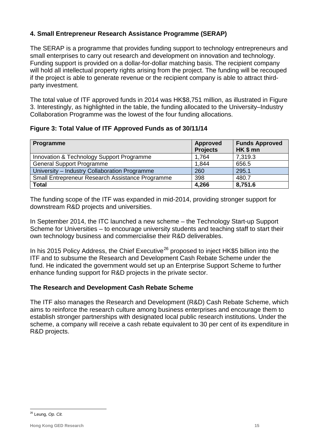#### **4. Small Entrepreneur Research Assistance Programme (SERAP)**

The SERAP is a programme that provides funding support to technology entrepreneurs and small enterprises to carry out research and development on innovation and technology. Funding support is provided on a dollar-for-dollar matching basis. The recipient company will hold all intellectual property rights arising from the project. The funding will be recouped if the project is able to generate revenue or the recipient company is able to attract thirdparty investment.

The total value of ITF approved funds in 2014 was HK\$8,751 million, as illustrated in Figure 3. Interestingly, as highlighted in the table, the funding allocated to the University–Industry Collaboration Programme was the lowest of the four funding allocations.

#### **Figure 3: Total Value of ITF Approved Funds as of 30/11/14**

| Programme                                        | <b>Approved</b><br><b>Projects</b> | <b>Funds Approved</b><br>HK\$mn |
|--------------------------------------------------|------------------------------------|---------------------------------|
| Innovation & Technology Support Programme        | 1,764                              | 7,319.3                         |
| <b>General Support Programme</b>                 | 1,844                              | 656.5                           |
| University - Industry Collaboration Programme    | 260                                | 295.1                           |
| Small Entrepreneur Research Assistance Programme | 398                                | 480.7                           |
| <b>Total</b>                                     | 4,266                              | 8,751.6                         |

The funding scope of the ITF was expanded in mid-2014, providing stronger support for downstream R&D projects and universities.

In September 2014, the ITC launched a new scheme – the Technology Start-up Support Scheme for Universities – to encourage university students and teaching staff to start their own technology business and commercialise their R&D deliverables.

In his 2015 Policy Address, the Chief Executive<sup>[26](#page-15-0)</sup> proposed to inject HK\$5 billion into the ITF and to subsume the Research and Development Cash Rebate Scheme under the fund. He indicated the government would set up an Enterprise Support Scheme to further enhance funding support for R&D projects in the private sector.

#### **The Research and Development Cash Rebate Scheme**

The ITF also manages the Research and Development (R&D) Cash Rebate Scheme, which aims to reinforce the research culture among business enterprises and encourage them to establish stronger partnerships with designated local public research institutions. Under the scheme, a company will receive a cash rebate equivalent to 30 per cent of its expenditure in R&D projects.

<span id="page-15-0"></span> <sup>26</sup> Leung, *Op. Cit.*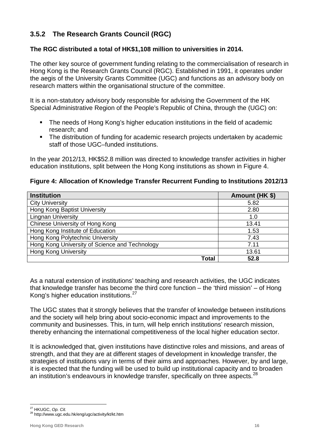# **3.5.2 The Research Grants Council (RGC)**

#### **The RGC distributed a total of HK\$1,108 million to universities in 2014.**

The other key source of government funding relating to the commercialisation of research in Hong Kong is the Research Grants Council (RGC). Established in 1991, it operates under the aegis of the University Grants Committee (UGC) and functions as an advisory body on research matters within the organisational structure of the committee.

It is a non-statutory advisory body responsible for advising the Government of the HK Special Administrative Region of the People's Republic of China, through the (UGC) on:

- The needs of Hong Kong's higher education institutions in the field of academic research; and
- The distribution of funding for academic research projects undertaken by academic staff of those UGC–funded institutions.

In the year 2012/13, HK\$52.8 million was directed to knowledge transfer activities in higher education institutions, split between the Hong Kong institutions as shown in Figure 4.

#### **Figure 4: Allocation of Knowledge Transfer Recurrent Funding to Institutions 2012/13**

| <b>Institution</b>                             | Amount (HK \$) |
|------------------------------------------------|----------------|
| <b>City University</b>                         | 5.82           |
| Hong Kong Baptist University                   | 2.80           |
| <b>Lingnan University</b>                      | 1.0            |
| Chinese University of Hong Kong                | 13.41          |
| Hong Kong Institute of Education               | 1.53           |
| Hong Kong Polytechnic University               | 7.43           |
| Hong Kong University of Science and Technology | 7.11           |
| <b>Hong Kong University</b>                    | 13.61          |
| Total                                          | 52.8           |

As a natural extension of institutions' teaching and research activities, the UGC indicates that knowledge transfer has become the third core function – the 'third mission' – of Hong Kong's higher education institutions.[27](#page-16-0)

The UGC states that it strongly believes that the transfer of knowledge between institutions and the society will help bring about socio-economic impact and improvements to the community and businesses. This, in turn, will help enrich institutions' research mission, thereby enhancing the international competitiveness of the local higher education sector.

It is acknowledged that, given institutions have distinctive roles and missions, and areas of strength, and that they are at different stages of development in knowledge transfer, the strategies of institutions vary in terms of their aims and approaches. However, by and large, it is expected that the funding will be used to build up institutional capacity and to broaden an institution's endeavours in knowledge transfer, specifically on three aspects.<sup>[28](#page-16-1)</sup>

<span id="page-16-1"></span><span id="page-16-0"></span><sup>&</sup>lt;sup>27</sup> HKUGC, Op. Cit.<br><sup>28</sup> http://www.ugc.edu.hk/eng/ugc/activity/kt/kt.htm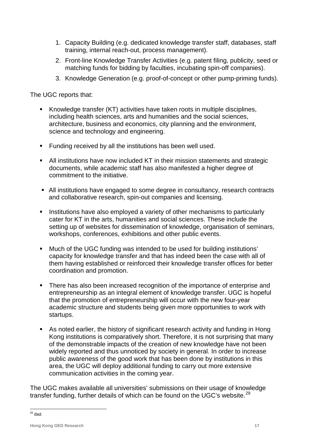- 1. Capacity Building (e.g. dedicated knowledge transfer staff, databases, staff training, internal reach-out, process management).
- 2. Front-line Knowledge Transfer Activities (e.g. patent filing, publicity, seed or matching funds for bidding by faculties, incubating spin-off companies).
- 3. Knowledge Generation (e.g. proof-of-concept or other pump-priming funds).

The UGC reports that:

- Knowledge transfer (KT) activities have taken roots in multiple disciplines, including health sciences, arts and humanities and the social sciences, architecture, business and economics, city planning and the environment, science and technology and engineering.
- **Funding received by all the institutions has been well used.**
- All institutions have now included KT in their mission statements and strategic documents, while academic staff has also manifested a higher degree of commitment to the initiative.
- All institutions have engaged to some degree in consultancy, research contracts and collaborative research, spin-out companies and licensing.
- **Institutions have also employed a variety of other mechanisms to particularly** cater for KT in the arts, humanities and social sciences. These include the setting up of websites for dissemination of knowledge, organisation of seminars, workshops, conferences, exhibitions and other public events.
- Much of the UGC funding was intended to be used for building institutions' capacity for knowledge transfer and that has indeed been the case with all of them having established or reinforced their knowledge transfer offices for better coordination and promotion.
- There has also been increased recognition of the importance of enterprise and entrepreneurship as an integral element of knowledge transfer. UGC is hopeful that the promotion of entrepreneurship will occur with the new four-year academic structure and students being given more opportunities to work with startups.
- As noted earlier, the history of significant research activity and funding in Hong Kong institutions is comparatively short. Therefore, it is not surprising that many of the demonstrable impacts of the creation of new knowledge have not been widely reported and thus unnoticed by society in general. In order to increase public awareness of the good work that has been done by institutions in this area, the UGC will deploy additional funding to carry out more extensive communication activities in the coming year.

The UGC makes available all universities' submissions on their usage of knowledge transfer funding, further details of which can be found on the UGC's website.<sup>[29](#page-17-0)</sup>

<span id="page-17-0"></span> <sup>29</sup> *Ibid.*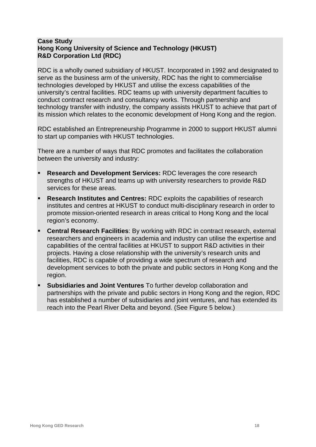#### **Case Study Hong Kong University of Science and Technology (HKUST) R&D Corporation Ltd (RDC)**

RDC is a wholly owned subsidiary of HKUST. Incorporated in 1992 and designated to serve as the business arm of the university, RDC has the right to commercialise technologies developed by HKUST and utilise the excess capabilities of the university's central facilities. RDC teams up with university department faculties to conduct contract research and consultancy works. Through partnership and technology transfer with industry, the company assists HKUST to achieve that part of its mission which relates to the economic development of Hong Kong and the region.

RDC established an Entrepreneurship Programme in 2000 to support HKUST alumni to start up companies with HKUST technologies.

There are a number of ways that RDC promotes and facilitates the collaboration between the university and industry:

- **Research and Development Services:** RDC leverages the core research strengths of HKUST and teams up with university researchers to provide R&D services for these areas.
- **[Research Institutes and Centres:](http://www.vprg.ust.hk/rgs/eng/centers_n_institutes/index.html)** RDC exploits the capabilities of research institutes and centres at HKUST to conduct multi-disciplinary research in order to promote mission-oriented research in areas critical to Hong Kong and the local region's economy.
- **Central Research Facilities**: By working with RDC in contract research, external researchers and engineers in academia and industry can utilise the expertise and capabilities of the central facilities at HKUST to support R&D activities in their projects. Having a close relationship with the university's research units and facilities, RDC is capable of providing a wide spectrum of research and development services to both the private and public sectors in Hong Kong and the region.
- **Subsidiaries and Joint Ventures** To further develop collaboration and partnerships with the private and public sectors in Hong Kong and the region, RDC has established a number of subsidiaries and joint ventures, and has extended its reach into the Pearl River Delta and beyond. (See Figure 5 below.)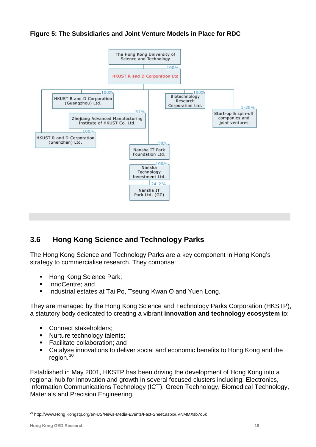#### **Figure 5: The Subsidiaries and Joint Venture Models in Place for RDC**



# **3.6 Hong Kong Science and Technology Parks**

The Hong Kong Science and Technology Parks are a key component in Hong Kong's strategy to commercialise research. They comprise:

- Hong Kong Science Park;
- InnoCentre: and
- Industrial estates at Tai Po, Tseung Kwan O and Yuen Long.

They are managed by the Hong Kong Science and Technology Parks Corporation (HKSTP), a statutory body dedicated to creating a vibrant **innovation and technology ecosystem** to:

- Connect stakeholders;
- Nurture technology talents;
- Facilitate collaboration: and
- Catalyse innovations to deliver social and economic benefits to Hong Kong and the region.<sup>[30](#page-19-0)</sup>

Established in May 2001, HKSTP has been driving the development of Hong Kong into a regional hub for innovation and growth in several focused clusters including: Electronics, Information Communications Technology (ICT), Green Technology, Biomedical Technology, Materials and Precision Engineering.

<span id="page-19-0"></span><sup>&</sup>lt;sup>30</sup> http://www.Hong Kongstp.org/en-US/News-Media-Events/Fact-Sheet.aspx#.VNMMXsb7o6k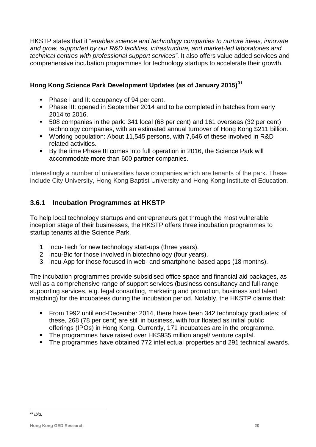HKSTP states that it "*enables science and technology companies to nurture ideas, innovate and grow, supported by our R&D facilities, infrastructure, and market-led laboratories and technical centres with professional support services"*. It also offers value added services and comprehensive incubation programmes for technology startups to accelerate their growth.

## **Hong Kong Science Park Development Updates (as of January 2015) [31](#page-20-0)**

- Phase I and II: occupancy of 94 per cent.
- Phase III: opened in September 2014 and to be completed in batches from early 2014 to 2016.
- 508 companies in the park: 341 local (68 per cent) and 161 overseas (32 per cent) technology companies, with an estimated annual turnover of Hong Kong \$211 billion.
- Working population: About 11,545 persons, with 7,646 of these involved in R&D related activities.
- By the time Phase III comes into full operation in 2016, the Science Park will accommodate more than 600 partner companies.

Interestingly a number of universities have companies which are tenants of the park. These include City University, Hong Kong Baptist University and Hong Kong Institute of Education.

# **3.6.1 Incubation Programmes at HKSTP**

To help local technology startups and entrepreneurs get through the most vulnerable inception stage of their businesses, the HKSTP offers three incubation programmes to startup tenants at the Science Park.

- 1. Incu-Tech for new technology start-ups (three years).
- 2. Incu-Bio for those involved in biotechnology (four years).
- 3. Incu-App for those focused in web- and smartphone-based apps (18 months).

The incubation programmes provide subsidised office space and financial aid packages, as well as a comprehensive range of support services (business consultancy and full-range supporting services, e.g. legal consulting, marketing and promotion, business and talent matching) for the incubatees during the incubation period. Notably, the HKSTP claims that:

- From 1992 until end-December 2014, there have been 342 technology graduates; of these, 268 (78 per cent) are still in business, with four floated as initial public offerings (IPOs) in Hong Kong. Currently, 171 incubatees are in the programme.
- **The programmes have raised over HK\$935 million angel/ venture capital.**
- <span id="page-20-0"></span>The programmes have obtained 772 intellectual properties and 291 technical awards.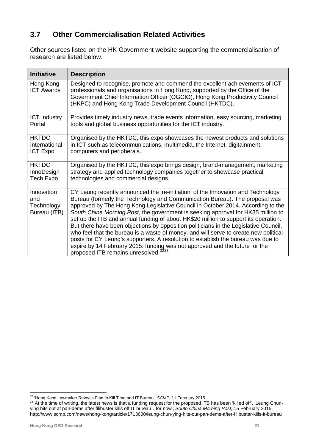# **3.7 Other Commercialisation Related Activities**

Other sources listed on the HK Government website supporting the commercialisation of research are listed below.

| <b>Initiative</b>                               | <b>Description</b>                                                                                                                                                                                                                                                                                                                                                                                                                                                                                                                                                                                                                                                                                                                                                                                                                   |
|-------------------------------------------------|--------------------------------------------------------------------------------------------------------------------------------------------------------------------------------------------------------------------------------------------------------------------------------------------------------------------------------------------------------------------------------------------------------------------------------------------------------------------------------------------------------------------------------------------------------------------------------------------------------------------------------------------------------------------------------------------------------------------------------------------------------------------------------------------------------------------------------------|
| Hong Kong<br><b>ICT Awards</b>                  | Designed to recognise, promote and commend the excellent achievements of ICT<br>professionals and organisations in Hong Kong, supported by the Office of the<br>Government Chief Information Officer (OGCIO), Hong Kong Productivity Council<br>(HKPC) and Hong Kong Trade Development Council (HKTDC).                                                                                                                                                                                                                                                                                                                                                                                                                                                                                                                              |
| <b>ICT Industry</b>                             | Provides timely industry news, trade events information, easy sourcing, marketing                                                                                                                                                                                                                                                                                                                                                                                                                                                                                                                                                                                                                                                                                                                                                    |
| Portal                                          | tools and global business opportunities for the ICT industry.                                                                                                                                                                                                                                                                                                                                                                                                                                                                                                                                                                                                                                                                                                                                                                        |
| <b>HKTDC</b>                                    | Organised by the HKTDC, this expo showcases the newest products and solutions                                                                                                                                                                                                                                                                                                                                                                                                                                                                                                                                                                                                                                                                                                                                                        |
| International                                   | in ICT such as telecommunications, multimedia, the Internet, digitainment,                                                                                                                                                                                                                                                                                                                                                                                                                                                                                                                                                                                                                                                                                                                                                           |
| <b>ICT Expo</b>                                 | computers and peripherals.                                                                                                                                                                                                                                                                                                                                                                                                                                                                                                                                                                                                                                                                                                                                                                                                           |
| <b>HKTDC</b>                                    | Organised by the HKTDC, this expo brings design, brand-management, marketing                                                                                                                                                                                                                                                                                                                                                                                                                                                                                                                                                                                                                                                                                                                                                         |
| InnoDesign                                      | strategy and applied technology companies together to showcase practical                                                                                                                                                                                                                                                                                                                                                                                                                                                                                                                                                                                                                                                                                                                                                             |
| Tech Expo                                       | technologies and commercial designs.                                                                                                                                                                                                                                                                                                                                                                                                                                                                                                                                                                                                                                                                                                                                                                                                 |
| Innovation<br>and<br>Technology<br>Bureau (ITB) | CY Leung recently announced the 're-initiation' of the Innovation and Technology<br>Bureau (formerly the Technology and Communication Bureau). The proposal was<br>approved by The Hong Kong Legislative Council in October 2014. According to the<br>South China Morning Post, the government is seeking approval for HK35 million to<br>set up the ITB and annual funding of about HK\$20 million to support its operation.<br>But there have been objections by opposition politicians in the Legislative Council,<br>who feel that the bureau is a waste of money, and will serve to create new political<br>posts for CY Leung's supporters. A resolution to establish the bureau was due to<br>expire by 14 February 2015: funding was not approved and the future for the<br>proposed ITB remains unresolved. <sup>3233</sup> |

<span id="page-21-1"></span><span id="page-21-0"></span>

<sup>&</sup>lt;sup>32</sup> 'Hong Kong Lawmaker Reveals Plan to Kill Time and IT Bureau', *SCMP*, 11 February 2015<br><sup>33</sup> At the time of writing, the latest news is that a funding request for the proposed ITB has been 'killed off'. 'Leung Chunying hits out at pan-dems after filibuster kills off IT bureau…for now', *South China Morning Post*, 15 February 2015, http://www.scmp.com/news/hong-kong/article/1713600/leung-chun-ying-hits-out-pan-dems-after-filibuster-kills-it-bureau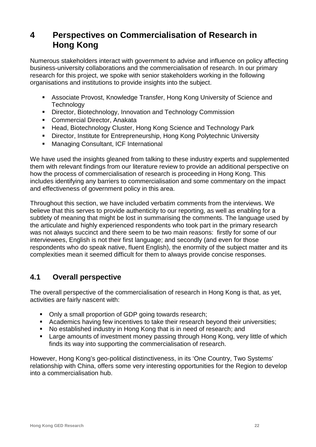# **4 Perspectives on Commercialisation of Research in Hong Kong**

Numerous stakeholders interact with government to advise and influence on policy affecting business-university collaborations and the commercialisation of research. In our primary research for this project, we spoke with senior stakeholders working in the following organisations and institutions to provide insights into the subject.

- Associate Provost, Knowledge Transfer, Hong Kong University of Science and **Technology**
- **Director, Biotechnology, Innovation and Technology Commission**
- **Commercial Director, Anakata**
- Head, Biotechnology Cluster, Hong Kong Science and Technology Park
- **Director, Institute for Entrepreneurship, Hong Kong Polytechnic University**
- **Managing Consultant, ICF International**

We have used the insights gleaned from talking to these industry experts and supplemented them with relevant findings from our literature review to provide an additional perspective on how the process of commercialisation of research is proceeding in Hong Kong. This includes identifying any barriers to commercialisation and some commentary on the impact and effectiveness of government policy in this area.

Throughout this section, we have included verbatim comments from the interviews. We believe that this serves to provide authenticity to our reporting, as well as enabling for a subtlety of meaning that might be lost in summarising the comments. The language used by the articulate and highly experienced respondents who took part in the primary research was not always succinct and there seem to be two main reasons: firstly for some of our interviewees, English is not their first language; and secondly (and even for those respondents who do speak native, fluent English), the enormity of the subject matter and its complexities mean it seemed difficult for them to always provide concise responses.

# **4.1 Overall perspective**

The overall perspective of the commercialisation of research in Hong Kong is that, as yet, activities are fairly nascent with:

- Only a small proportion of GDP going towards research;
- Academics having few incentives to take their research beyond their universities;
- No established industry in Hong Kong that is in need of research; and<br>■ Large amounts of investment money passing through Hong Kong, ver
- Large amounts of investment money passing through Hong Kong, very little of which finds its way into supporting the commercialisation of research.

However, Hong Kong's geo-political distinctiveness, in its 'One Country, Two Systems' relationship with China, offers some very interesting opportunities for the Region to develop into a commercialisation hub.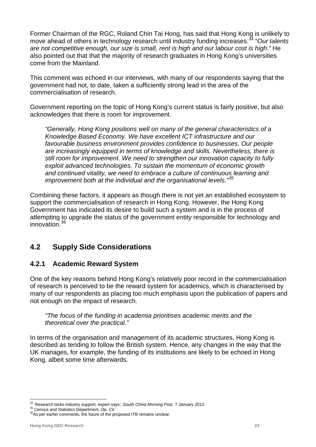Former Chairman of the RGC, Roland Chin Tai Hong, has said that Hong Kong is unlikely to move ahead of others in technology research until industry funding increases. [34](#page-23-0) "*Our talents are not competitive enough, our size is small, rent is high and our labour cost is high*.*"* He also pointed out that that the majority of research graduates in Hong Kong's universities come from the Mainland.

This comment was echoed in our interviews, with many of our respondents saying that the government had not, to date, taken a sufficiently strong lead in the area of the commercialisation of research.

Government reporting on the topic of Hong Kong's current status is fairly positive, but also acknowledges that there is room for improvement.

*"Generally, Hong Kong positions well on many of the general characteristics of a Knowledge Based Economy. We have excellent ICT infrastructure and our favourable business environment provides confidence to businesses. Our people are increasingly equipped in terms of knowledge and skills. Nevertheless, there is still room for improvement. We need to strengthen our innovation capacity to fully exploit advanced technologies. To sustain the momentum of economic growth and continued vitality, we need to embrace a culture of continuous learning and improvement both at the individual and the organisational levels." [35](#page-23-1)*

Combining these factors, it appears as though there is not yet an established ecosystem to support the commercialisation of research in Hong Kong. However, the Hong Kong Government has indicated its desire to build such a system and is in the process of attempting to upgrade the status of the government entity responsible for technology and innovation.[36](#page-23-2)

# **4.2 Supply Side Considerations**

#### **4.2.1 Academic Reward System**

One of the key reasons behind Hong Kong's relatively poor record in the commercialisation of research is perceived to be the reward system for academics, which is characterised by many of our respondents as placing too much emphasis upon the publication of papers and not enough on the impact of research.

#### *"The focus of the funding in academia prioritises academic merits and the theoretical over the practical."*

In terms of the organisation and management of its academic structures, Hong Kong is described as tending to follow the British system. Hence, any changes in the way that the UK manages, for example, the funding of its institutions are likely to be echoed in Hong Kong, albeit some time afterwards.

<span id="page-23-0"></span><sup>&</sup>lt;sup>34</sup> 'Research lacks industry support, expert says', South China Morning Post, 7 January 2013<br><sup>35</sup> Census and Statistics Department, Op. Cit.<br><sup>36</sup>As per earlier comments, the future of the proposed ITB remains unclear.

<span id="page-23-1"></span>

<span id="page-23-2"></span>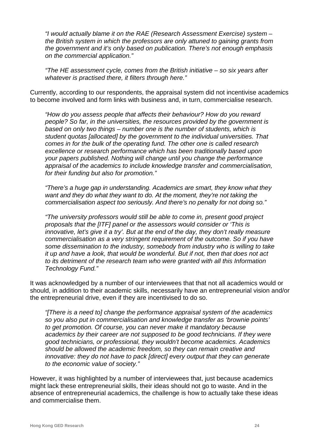*"I would actually blame it on the RAE (Research Assessment Exercise) system – the British system in which the professors are only attuned to gaining grants from the government and it's only based on publication. There's not enough emphasis on the commercial application."*

*"The HE assessment cycle, comes from the British initiative – so six years after whatever is practised there, it filters through here."*

Currently, according to our respondents, the appraisal system did not incentivise academics to become involved and form links with business and, in turn, commercialise research.

*"How do you assess people that affects their behaviour? How do you reward people? So far, in the universities, the resources provided by the government is based on only two things – number one is the number of students, which is student quotas [allocated] by the government to the individual universities. That comes in for the bulk of the operating fund. The other one is called research excellence or research performance which has been traditionally based upon your papers published. Nothing will change until you change the performance appraisal of the academics to include knowledge transfer and commercialisation, for their funding but also for promotion."*

*"There's a huge gap in understanding. Academics are smart, they know what they want and they do what they want to do. At the moment, they're not taking the commercialisation aspect too seriously. And there's no penalty for not doing so."*

*"The university professors would still be able to come in, present good project proposals that the [ITF] panel or the assessors would consider or 'This is innovative, let's give it a try'. But at the end of the day, they don't really measure commercialisation as a very stringent requirement of the outcome. So if you have some dissemination to the industry, somebody from industry who is willing to take it up and have a look, that would be wonderful. But if not, then that does not act to its detriment of the research team who were granted with all this Information Technology Fund."*

It was acknowledged by a number of our interviewees that that not all academics would or should, in addition to their academic skills, necessarily have an entrepreneurial vision and/or the entrepreneurial drive, even if they are incentivised to do so.

*"[There is a need to] change the performance appraisal system of the academics so you also put in commercialisation and knowledge transfer as 'brownie points' to get promotion. Of course, you can never make it mandatory because academics by their career are not supposed to be good technicians. If they were good technicians, or professional, they wouldn't become academics. Academics should be allowed the academic freedom, so they can remain creative and innovative: they do not have to pack [direct] every output that they can generate to the economic value of society."*

However, it was highlighted by a number of interviewees that, just because academics might lack these entrepreneurial skills, their ideas should not go to waste. And in the absence of entrepreneurial academics, the challenge is how to actually take these ideas and commercialise them.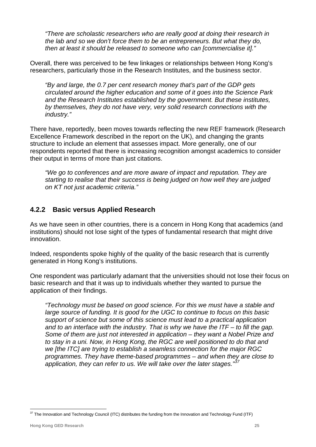*"There are scholastic researchers who are really good at doing their research in the lab and so we don't force them to be an entrepreneurs. But what they do, then at least it should be released to someone who can [commercialise it]."* 

Overall, there was perceived to be few linkages or relationships between Hong Kong's researchers, particularly those in the Research Institutes, and the business sector.

*"By and large, the 0.7 per cent research money that's part of the GDP gets circulated around the higher education and some of it goes into the Science Park and the Research Institutes established by the government. But these institutes, by themselves, they do not have very, very solid research connections with the industry."*

There have, reportedly, been moves towards reflecting the new REF framework (Research Excellence Framework described in the report on the UK), and changing the grants structure to include an element that assesses impact. More generally, one of our respondents reported that there is increasing recognition amongst academics to consider their output in terms of more than just citations.

*"We go to conferences and are more aware of impact and reputation. They are starting to realise that their success is being judged on how well they are judged on KT not just academic criteria."*

#### **4.2.2 Basic versus Applied Research**

As we have seen in other countries, there is a concern in Hong Kong that academics (and institutions) should not lose sight of the types of fundamental research that might drive innovation.

Indeed, respondents spoke highly of the quality of the basic research that is currently generated in Hong Kong's institutions.

One respondent was particularly adamant that the universities should not lose their focus on basic research and that it was up to individuals whether they wanted to pursue the application of their findings.

*"Technology must be based on good science. For this we must have a stable and large source of funding. It is good for the UGC to continue to focus on this basic support of science but some of this science must lead to a practical application and to an interface with the industry. That is why we have the ITF – to fill the gap. Some of them are just not interested in application – they want a Nobel Prize and to stay in a uni. Now, in Hong Kong, the RGC are well positioned to do that and we [the ITC] are trying to establish a seamless connection for the major RGC programmes. They have theme-based programmes – and when they are close to application, they can refer to us. We will take over the later stages."[37](#page-25-0)*

<span id="page-25-0"></span> $37$  The Innovation and Technology Council (ITC) distributes the funding from the Innovation and Technology Fund (ITF)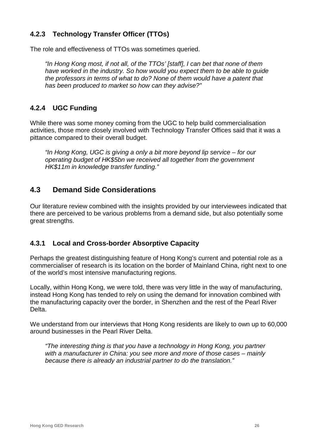# **4.2.3 Technology Transfer Officer (TTOs)**

The role and effectiveness of TTOs was sometimes queried.

*"In Hong Kong most, if not all, of the TTOs' [staff], I can bet that none of them have worked in the industry. So how would you expect them to be able to guide the professors in terms of what to do? None of them would have a patent that has been produced to market so how can they advise?"*

#### **4.2.4 UGC Funding**

While there was some money coming from the UGC to help build commercialisation activities, those more closely involved with Technology Transfer Offices said that it was a pittance compared to their overall budget.

*"In Hong Kong, UGC is giving a only a bit more beyond lip service – for our operating budget of HK\$5bn we received all together from the government HK\$11m in knowledge transfer funding."*

#### **4.3 Demand Side Considerations**

Our literature review combined with the insights provided by our interviewees indicated that there are perceived to be various problems from a demand side, but also potentially some great strengths.

#### **4.3.1 Local and Cross-border Absorptive Capacity**

Perhaps the greatest distinguishing feature of Hong Kong's current and potential role as a commercialiser of research is its location on the border of Mainland China, right next to one of the world's most intensive manufacturing regions.

Locally, within Hong Kong, we were told, there was very little in the way of manufacturing, instead Hong Kong has tended to rely on using the demand for innovation combined with the manufacturing capacity over the border, in Shenzhen and the rest of the Pearl River Delta.

We understand from our interviews that Hong Kong residents are likely to own up to 60,000 around businesses in the Pearl River Delta.

*"The interesting thing is that you have a technology in Hong Kong, you partner with a manufacturer in China: you see more and more of those cases – mainly because there is already an industrial partner to do the translation."*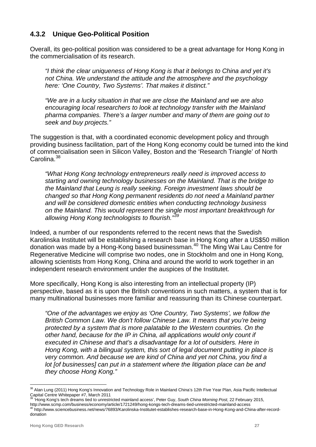#### **4.3.2 Unique Geo-Political Position**

Overall, its geo-political position was considered to be a great advantage for Hong Kong in the commercialisation of its research.

*"I think the clear uniqueness of Hong Kong is that it belongs to China and yet it's not China. We understand the attitude and the atmosphere and the psychology here: 'One Country, Two Systems'. That makes it distinct."*

*"We are in a lucky situation in that we are close the Mainland and we are also encouraging local researchers to look at technology transfer with the Mainland pharma companies. There's a larger number and many of them are going out to seek and buy projects."*

The suggestion is that, with a coordinated economic development policy and through providing business facilitation, part of the Hong Kong economy could be turned into the kind of commercialisation seen in Silicon Valley, Boston and the 'Research Triangle' of North Carolina.<sup>[38](#page-27-0)</sup>

*"What Hong Kong technology entrepreneurs really need is improved access to starting and owning technology businesses on the Mainland. That is the bridge to the Mainland that Leung is really seeking. Foreign investment laws should be changed so that Hong Kong permanent residents do not need a Mainland partner and will be considered domestic entities when conducting technology business on the Mainland. This would represent the single most important breakthrough for allowing Hong Kong technologists to flourish." [39](#page-27-1)*

Indeed, a number of our respondents referred to the recent news that the Swedish Karolinska Institutet will be establishing a research base in Hong Kong after a US\$50 million donation was made by a Hong-Kong based businessman.<sup>[40](#page-27-2)</sup> The Ming Wai Lau Centre for Regenerative Medicine will comprise two nodes, one in Stockholm and one in Hong Kong, allowing scientists from Hong Kong, China and around the world to work together in an independent research environment under the auspices of the Institutet.

More specifically, Hong Kong is also interesting from an intellectual property (IP) perspective, based as it is upon the British conventions in such matters, a system that is for many multinational businesses more familiar and reassuring than its Chinese counterpart.

*"One of the advantages we enjoy as 'One Country, Two Systems', we follow the British Common Law. We don't follow Chinese Law. It means that you're being protected by a system that is more palatable to the Western countries. On the other hand, because for the IP in China, all applications would only count if executed in Chinese and that's a disadvantage for a lot of outsiders. Here in Hong Kong, with a bilingual system, this sort of legal document putting in place is very common. And because we are kind of China and yet not China, you find a lot [of businesses] can put in a statement where the litigation place can be and they choose Hong Kong."*

<span id="page-27-0"></span><sup>&</sup>lt;sup>38</sup> Alan Lung (2011) Hong Kong's Innovation and Technology Role in Mainland China's 12th Five Year Plan, Asia Pacific Intellectual Capital Centre Whitepaper #7, March 2011

<span id="page-27-1"></span><sup>&</sup>lt;sup>39</sup> 'Hong Kong's tech dreams tied to unrestricted mainland access', Peter Guy, *South China Morning Post*, 22 February 2015,<br>http://www.scmp.com/business/economy/article/1721249/hong-kongs-tech-dreams-tied-unrestricted-ma

<span id="page-27-2"></span>http://www.sciencebusiness.net/news/76893/Karolinska-Institutet-establishes-research-base-in-Hong-Kong-and-China-after-recorddonation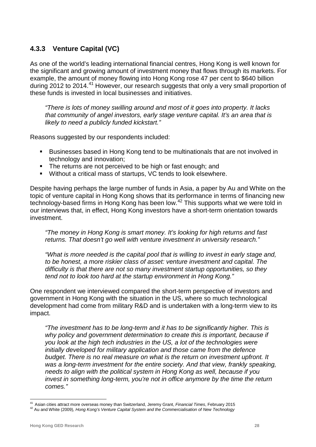## **4.3.3 Venture Capital (VC)**

As one of the world's leading international [financial centres,](http://en.wikipedia.org/wiki/Financial_centre) Hong Kong is well known for the significant and growing amount of investment money that flows through its markets. For example, the amount of money flowing into Hong Kong rose 47 per cent to \$640 billion during 2012 to 2014.<sup>[41](#page-28-0)</sup> However, our research suggests that only a very small proportion of these funds is invested in local businesses and initiatives.

*"There is lots of money swilling around and most of it goes into property. It lacks that community of angel investors, early stage venture capital. It's an area that is likely to need a publicly funded kickstart."*

Reasons suggested by our respondents included:

- Businesses based in Hong Kong tend to be multinationals that are not involved in technology and innovation;
- The returns are not perceived to be high or fast enough; and
- Without a critical mass of startups, VC tends to look elsewhere.

Despite having perhaps the large number of funds in Asia, a paper by Au and White on the topic of venture capital in Hong Kong shows that its performance in terms of financing new technology-based firms in Hong Kong has been low.<sup>[42](#page-28-1)</sup> This supports what we were told in our interviews that, in effect, Hong Kong investors have a short-term orientation towards investment.

*"The money in Hong Kong is smart money. It's looking for high returns and fast returns. That doesn't go well with venture investment in university research."*

*"What is more needed is the capital pool that is willing to invest in early stage and, to be honest, a more riskier class of asset: venture investment and capital. The difficulty is that there are not so many investment startup opportunities, so they tend not to look too hard at the startup environment in Hong Kong."*

One respondent we interviewed compared the short-term perspective of investors and government in Hong Kong with the situation in the US, where so much technological development had come from military R&D and is undertaken with a long-term view to its impact.

*"The investment has to be long-term and it has to be significantly higher. This is why policy and government determination to create this is important, because if you look at the high tech industries in the US, a lot of the technologies were initially developed for military application and those came from the defence budget. There is no real measure on what is the return on investment upfront. It was a long-term investment for the entire society. And that view, frankly speaking, needs to align with the political system in Hong Kong as well, because if you invest in something long-term, you're not in office anymore by the time the return comes."*

<span id="page-28-1"></span><span id="page-28-0"></span><sup>&</sup>lt;sup>41</sup> Asian cities attract more overseas money than Switzerland, Jeremy Grant, *Financial Times*, February 2015<br><sup>42</sup> Au and White (2009), *Hong Kong's Venture Capital System and the Commercialisation of New Technology*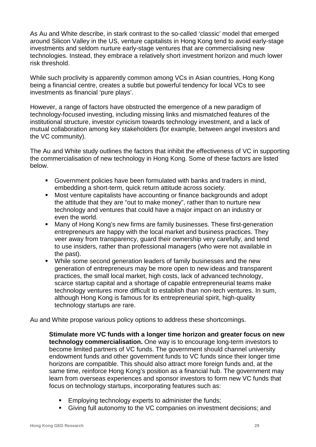As Au and White describe, in stark contrast to the so-called 'classic' model that emerged around Silicon Valley in the US, venture capitalists in Hong Kong tend to avoid early-stage investments and seldom nurture early-stage ventures that are commercialising new technologies. Instead, they embrace a relatively short investment horizon and much lower risk threshold.

While such proclivity is apparently common among VCs in Asian countries, Hong Kong being a financial centre, creates a subtle but powerful tendency for local VCs to see investments as financial 'pure plays'.

However, a range of factors have obstructed the emergence of a new paradigm of technology-focused investing, including missing links and mismatched features of the institutional structure, investor cynicism towards technology investment, and a lack of mutual collaboration among key stakeholders (for example, between angel investors and the VC community).

The Au and White study outlines the factors that inhibit the effectiveness of VC in supporting the commercialisation of new technology in Hong Kong. Some of these factors are listed below.

- Government policies have been formulated with banks and traders in mind, embedding a short-term, quick return attitude across society.
- **Most venture capitalists have accounting or finance backgrounds and adopt** the attitude that they are "out to make money", rather than to nurture new technology and ventures that could have a major impact on an industry or even the world.
- Many of Hong Kong's new firms are family businesses. These first-generation entrepreneurs are happy with the local market and business practices. They veer away from transparency, guard their ownership very carefully, and tend to use insiders, rather than professional managers (who were not available in the past).
- While some second generation leaders of family businesses and the new generation of entrepreneurs may be more open to new ideas and transparent practices, the small local market, high costs, lack of advanced technology, scarce startup capital and a shortage of capable entrepreneurial teams make technology ventures more difficult to establish than non-tech ventures. In sum, although Hong Kong is famous for its entrepreneurial spirit, high-quality technology startups are rare.

Au and White propose various policy options to address these shortcomings.

**Stimulate more VC funds with a longer time horizon and greater focus on new technology commercialisation.** One way is to encourage long-term investors to become limited partners of VC funds. The government should channel university endowment funds and other government funds to VC funds since their longer time horizons are compatible. This should also attract more foreign funds and, at the same time, reinforce Hong Kong's position as a financial hub. The government may learn from overseas experiences and sponsor investors to form new VC funds that focus on technology startups, incorporating features such as:

- **Employing technology experts to administer the funds;**
- Giving full autonomy to the VC companies on investment decisions; and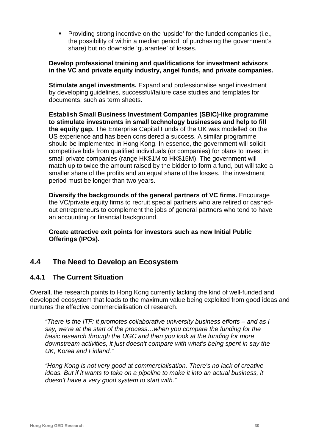Providing strong incentive on the 'upside' for the funded companies (i.e., the possibility of within a median period, of purchasing the government's share) but no downside 'guarantee' of losses.

#### **Develop professional training and qualifications for investment advisors in the VC and private equity industry, angel funds, and private companies.**

**Stimulate angel investments.** Expand and professionalise angel investment by developing guidelines, successful/failure case studies and templates for documents, such as term sheets.

**Establish Small Business Investment Companies (SBIC)-like programme to stimulate investments in small technology businesses and help to fill the equity gap.** The Enterprise Capital Funds of the UK was modelled on the US experience and has been considered a success. A similar programme should be implemented in Hong Kong. In essence, the government will solicit competitive bids from qualified individuals (or companies) for plans to invest in small private companies (range HK\$1M to HK\$15M). The government will match up to twice the amount raised by the bidder to form a fund, but will take a smaller share of the profits and an equal share of the losses. The investment period must be longer than two years.

**Diversify the backgrounds of the general partners of VC firms.** Encourage the VC/private equity firms to recruit special partners who are retired or cashedout entrepreneurs to complement the jobs of general partners who tend to have an accounting or financial background.

**Create attractive exit points for investors such as new Initial Public Offerings (IPOs).**

# **4.4 The Need to Develop an Ecosystem**

#### **4.4.1 The Current Situation**

Overall, the research points to Hong Kong currently lacking the kind of well-funded and developed ecosystem that leads to the maximum value being exploited from good ideas and nurtures the effective commercialisation of research.

*"There is the ITF: it promotes collaborative university business efforts – and as I say, we're at the start of the process…when you compare the funding for the basic research through the UGC and then you look at the funding for more downstream activities, it just doesn't compare with what's being spent in say the UK, Korea and Finland."*

*"Hong Kong is not very good at commercialisation. There's no lack of creative ideas. But if it wants to take on a pipeline to make it into an actual business, it doesn't have a very good system to start with."*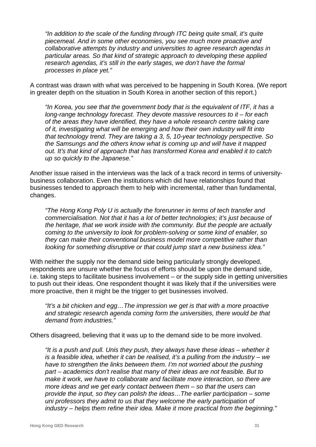*"In addition to the scale of the funding through ITC being quite small, it's quite piecemeal. And in some other economies, you see much more proactive and collaborative attempts by industry and universities to agree research agendas in particular areas. So that kind of strategic approach to developing these applied research agendas, it's still in the early stages, we don't have the formal processes in place yet."*

A contrast was drawn with what was perceived to be happening in South Korea. (We report in greater depth on the situation in South Korea in another section of this report.)

*"In Korea, you see that the government body that is the equivalent of ITF, it has a long-range technology forecast. They devote massive resources to it – for each of the areas they have identified, they have a whole research centre taking care of it, investigating what will be emerging and how their own industry will fit into that technology trend. They are taking a 3, 5, 10-year technology perspective. So the Samsungs and the others know what is coming up and will have it mapped out. It's that kind of approach that has transformed Korea and enabled it to catch up so quickly to the Japanese."*

Another issue raised in the interviews was the lack of a track record in terms of universitybusiness collaboration. Even the institutions which did have relationships found that businesses tended to approach them to help with incremental, rather than fundamental, changes.

*"The Hong Kong Poly U is actually the forerunner in terms of tech transfer and commercialisation. Not that it has a lot of better technologies; it's just because of the heritage, that we work inside with the community. But the people are actually coming to the university to look for problem-solving or some kind of enabler, so they can make their conventional business model more competitive rather than looking for something disruptive or that could jump start a new business idea."*

With neither the supply nor the demand side being particularly strongly developed, respondents are unsure whether the focus of efforts should be upon the demand side, i.e. taking steps to facilitate business involvement – or the supply side in getting universities to push out their ideas. One respondent thought it was likely that if the universities were more proactive, then it might be the trigger to get businesses involved.

*"It's a bit chicken and egg…The impression we get is that with a more proactive and strategic research agenda coming form the universities, there would be that demand from industries."*

Others disagreed, believing that it was up to the demand side to be more involved.

*"It is a push and pull. Unis they push, they always have these ideas – whether it is a feasible idea, whether it can be realised, it's a pulling from the industry – we have to strengthen the links between them. I'm not worried about the pushing part – academics don't realise that many of their ideas are not feasible. But to make it work, we have to collaborate and facilitate more interaction, so there are more ideas and we get early contact between them – so that the users can provide the input, so they can polish the ideas…The earlier participation – some uni professors they admit to us that they welcome the early participation of industry – helps them refine their idea. Make it more practical from the beginning."*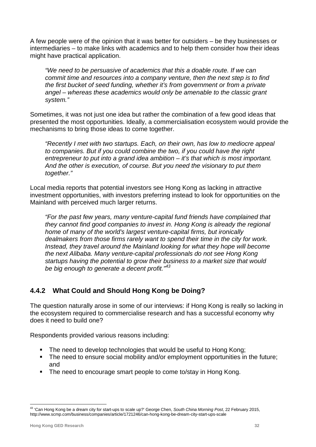A few people were of the opinion that it was better for outsiders – be they businesses or intermediaries – to make links with academics and to help them consider how their ideas might have practical application.

*"We need to be persuasive of academics that this a doable route. If we can commit time and resources into a company venture, then the next step is to find the first bucket of seed funding, whether it's from government or from a private angel – whereas these academics would only be amenable to the classic grant system."*

Sometimes, it was not just one idea but rather the combination of a few good ideas that presented the most opportunities. Ideally, a commercialisation ecosystem would provide the mechanisms to bring those ideas to come together.

*"Recently I met with two startups. Each, on their own, has low to mediocre appeal to companies. But if you could combine the two, if you could have the right entrepreneur to put into a grand idea ambition – it's that which is most important. And the other is execution, of course. But you need the visionary to put them together."*

Local media reports that potential investors see Hong Kong as lacking in attractive investment opportunities, with investors preferring instead to look for opportunities on the Mainland with perceived much larger returns.

*"For the past few years, many venture-capital fund friends have complained that they cannot find good companies to invest in. Hong Kong is already the regional home of many of the world's largest venture-capital firms, but ironically dealmakers from those firms rarely want to spend their time in the city for work. Instead, they travel around the Mainland looking for what they hope will become the next Alibaba. Many venture-capital professionals do not see Hong Kong startups having the potential to grow their business to a market size that would be big enough to generate a decent profit." [43](#page-32-0)*

# **4.4.2 What Could and Should Hong Kong be Doing?**

The question naturally arose in some of our interviews: if Hong Kong is really so lacking in the ecosystem required to commercialise research and has a successful economy why does it need to build one?

Respondents provided various reasons including:

- The need to develop technologies that would be useful to Hong Kong;
- The need to ensure social mobility and/or employment opportunities in the future; and
- **The need to encourage smart people to come to/stay in Hong Kong.**

<span id="page-32-0"></span> <sup>43</sup> 'Can Hong Kong be a dream city for start-ups to scale up?' George Chen, *South China Morning Post*, 22 February 2015, http://www.scmp.com/business/companies/article/1721246/can-hong-kong-be-dream-city-start-ups-scale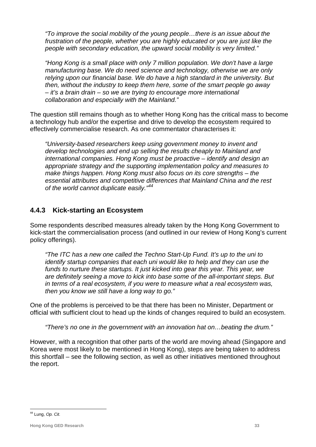*"To improve the social mobility of the young people…there is an issue about the frustration of the people, whether you are highly educated or you are just like the people with secondary education, the upward social mobility is very limited."*

*"Hong Kong is a small place with only 7 million population. We don't have a large manufacturing base. We do need science and technology, otherwise we are only relying upon our financial base. We do have a high standard in the university. But then, without the industry to keep them here, some of the smart people go away – it's a brain drain – so we are trying to encourage more international collaboration and especially with the Mainland."*

The question still remains though as to whether Hong Kong has the critical mass to become a technology hub and/or the expertise and drive to develop the ecosystem required to effectively commercialise research. As one commentator characterises it:

*"University‐based researchers keep using government money to invent and develop technologies and end up selling the results cheaply to Mainland and international companies. Hong Kong must be proactive – identify and design an appropriate strategy and the supporting implementation policy and measures to make things happen. Hong Kong must also focus on its core strengths – the essential attributes and competitive differences that Mainland China and the rest of the world cannot duplicate easily." [44](#page-33-0)*

## **4.4.3 Kick-starting an Ecosystem**

Some respondents described measures already taken by the Hong Kong Government to kick-start the commercialisation process (and outlined in our review of Hong Kong's current policy offerings).

*"The ITC has a new one called the Techno Start-Up Fund. It's up to the uni to identify startup companies that each uni would like to help and they can use the funds to nurture these startups. It just kicked into gear this year. This year, we are definitely seeing a move to kick into base some of the all-important steps. But in terms of a real ecosystem, if you were to measure what a real ecosystem was, then you know we still have a long way to go."*

One of the problems is perceived to be that there has been no Minister, Department or official with sufficient clout to head up the kinds of changes required to build an ecosystem.

*"There's no one in the government with an innovation hat on…beating the drum."*

However, with a recognition that other parts of the world are moving ahead (Singapore and Korea were most likely to be mentioned in Hong Kong), steps are being taken to address this shortfall – see the following section, as well as other initiatives mentioned throughout the report.

<span id="page-33-0"></span> <sup>44</sup> Lung, *Op. Cit.*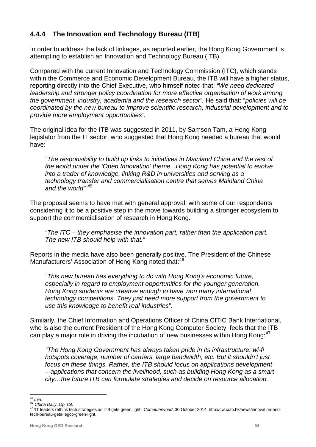## **4.4.4 The Innovation and Technology Bureau (ITB)**

In order to address the lack of linkages, as reported earlier, the Hong Kong Government is attempting to establish an Innovation and Technology Bureau (ITB).

Compared with the current Innovation and Technology Commission (ITC), which stands within the Commerce and Economic Development Bureau, the ITB will have a higher status, reporting directly into the Chief Executive, who himself noted that: *"We need dedicated leadership and stronger policy coordination for more effective organisation of work among the government, industry, academia and the research sector".* He said that: "*policies will be coordinated by the new bureau to improve scientific research, industrial development and to provide more employment opportunities".*

The original idea for the ITB was suggested in 2011, by Samson Tam, a Hong Kong legislator from the IT sector, who suggested that Hong Kong needed a bureau that would have:

*"The responsibility to build up links to initiatives in Mainland China and the rest of the world under the 'Open Innovation' theme...Hong Kong has potential to evolve into a trader of knowledge, linking R&D in universities and serving as a technology transfer and commercialisation centre that serves Mainland China and the world". [45](#page-34-0)*

The proposal seems to have met with general approval, with some of our respondents considering it to be a positive step in the move towards building a stronger ecosystem to support the commercialisation of research in Hong Kong.

*"The ITC – they emphasise the innovation part, rather than the application part. The new ITB should help with that."*

Reports in the media have also been generally positive. The President of the Chinese Manufacturers' Association of Hong Kong noted that:<sup>[46](#page-34-1)</sup>

*"This new bureau has everything to do with Hong Kong's economic future, especially in regard to employment opportunities for the younger generation. Hong Kong students are creative enough to have won many international technology competitions. They just need more support from the government to use this knowledge to benefit real industries".*

Similarly, the Chief Information and Operations Officer of China CITIC Bank International, who is also the current President of the Hong Kong Computer Society, feels that the ITB can play a major role in driving the incubation of new businesses within Hong Kong:<sup>[47](#page-34-2)</sup>

*"The Hong Kong Government has always taken pride in its infrastructure: wi-fi hotspots coverage, number of carriers, large bandwidth, etc. But it shouldn't just focus on these things. Rather, the ITB should focus on applications development – applications that concern the livelihood, such as building Hong Kong as a smart city…the future ITB can formulate strategies and decide on resource allocation.* 

<span id="page-34-2"></span><span id="page-34-1"></span><span id="page-34-0"></span><sup>&</sup>lt;sup>45</sup> *Ibid.*<br><sup>46</sup> *China Daily, Op. Cit.*<br><sup>47</sup> ['IT leaders rethink tech strategies as ITB gets green light',](http://cw.com.hk/news/innovation-and-tech-bureau-gets-legco-green-light) *Computerworld*, 30 October 2014[, http://cw.com.hk/news/innovation-and](http://cw.com.hk/news/innovation-and-tech-bureau-gets-legco-green-light)[tech-bureau-gets-legco-green-light,](http://cw.com.hk/news/innovation-and-tech-bureau-gets-legco-green-light)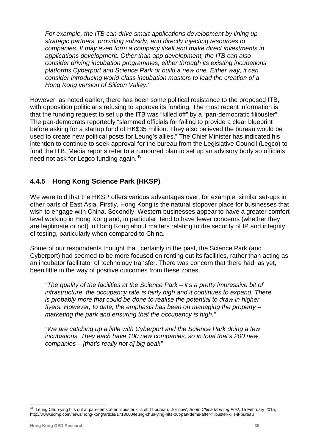*For example, the ITB can drive smart applications development by lining up strategic partners, providing subsidy, and directly injecting resources to companies. It may even form a company itself and make direct investments in applications development. Other than app development, the ITB can also consider driving incubation programmes, either through its existing incubations platforms Cyberport and Science Park or build a new one. Either way, it can consider introducing world-class incubation masters to lead the creation of a Hong Kong version of Silicon Valley."*

However, as noted earlier, there has been some political resistance to the proposed ITB, with opposition politicians refusing to approve its funding. The most recent information is that the funding request to set up the ITB was "killed off" by a "pan-democratic filibuster". The pan-democrats reportedly "slammed officials for failing to provide a clear blueprint before asking for a startup fund of HK\$35 million. They also believed the bureau would be used to create new political posts for Leung's allies." The Chief Minister has indicated his intention to continue to seek approval for the bureau from the Legislative Council (Legco) to fund the ITB. Media reports refer to a rumoured plan to set up an advisory body so officials need not ask for Legco funding again.<sup>[48](#page-35-0)</sup>

## **4.4.5 Hong Kong Science Park (HKSP)**

We were told that the HKSP offers various advantages over, for example, similar set-ups in other parts of East Asia. Firstly, Hong Kong is the natural stopover place for businesses that wish to engage with China. Secondly, Western businesses appear to have a greater comfort level working in Hong Kong and, in particular, tend to have fewer concerns (whether they are legitimate or not) in Hong Kong about matters relating to the security of IP and integrity of testing, particularly when compared to China.

Some of our respondents thought that, certainly in the past, the Science Park (and Cyberport) had seemed to be more focused on renting out its facilities, rather than acting as an incubator facilitator of technology transfer. There was concern that there had, as yet, been little in the way of positive outcomes from these zones.

*"The quality of the facilities at the Science Park – it's a pretty impressive bit of infrastructure, the occupancy rate is fairly high and it continues to expand. There is probably more that could be done to realise the potential to draw in higher flyers. However, to date, the emphasis has been on managing the property – marketing the park and ensuring that the occupancy is high."*

*"We are catching up a little with Cyberport and the Science Park doing a few incubations. They each have 100 new companies, so in total that's 200 new companies – [that's really not a] big deal!"*

<span id="page-35-0"></span> <sup>48</sup> 'Leung Chun-ying hits out at pan-dems after filibuster kills off IT bureau…for now', *South China Morning Post*, 15 February 2015, http://www.scmp.com/news/hong-kong/article/1713600/leung-chun-ying-hits-out-pan-dems-after-filibuster-kills-it-bureau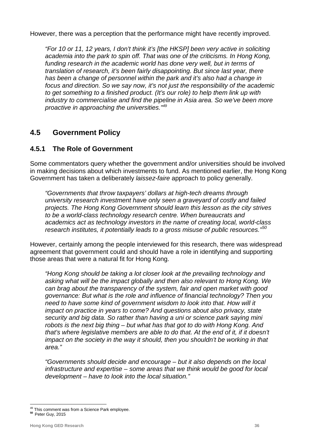However, there was a perception that the performance might have recently improved.

*"For 10 or 11, 12 years, I don't think it's [the HKSP] been very active in soliciting academia into the park to spin off. That was one of the criticisms. In Hong Kong,*  funding research in the academic world has done very well, but in terms of *translation of research, it's been fairly disappointing. But since last year, there has been a change of personnel within the park and it's also had a change in focus and direction. So we say now, it's not just the responsibility of the academic to get something to a finished product. (It's our role) to help them link up with industry to commercialise and find the pipeline in Asia area. So we've been more proactive in approaching the universities."[49](#page-36-0)*

# **4.5 Government Policy**

#### **4.5.1 The Role of Government**

Some commentators query whether the government and/or universities should be involved in making decisions about which investments to fund. As mentioned earlier, the Hong Kong Government has taken a deliberately *laissez-faire* approach to policy generally.

*"Governments that throw taxpayers' dollars at high-tech dreams through university research investment have only seen a graveyard of costly and failed projects. The Hong Kong Government should learn this lesson as the city strives to be a world-class technology research centre. When bureaucrats and academics act as technology investors in the name of creating local, world-class research institutes, it potentially leads to a gross misuse of public resources." [50](#page-36-1)*

However, certainly among the people interviewed for this research, there was widespread agreement that government could and should have a role in identifying and supporting those areas that were a natural fit for Hong Kong.

*"Hong Kong should be taking a lot closer look at the prevailing technology and asking what will be the impact globally and then also relevant to Hong Kong. We can brag about the transparency of the system, fair and open market with good governance: But what is the role and influence of financial technology? Then you need to have some kind of government wisdom to look into that. How will it impact on practice in years to come? And questions about also privacy, state security and big data. So rather than having a uni or science park saying mini robots is the next big thing – but what has that got to do with Hong Kong. And that's where legislative members are able to do that. At the end of it, if it doesn't impact on the society in the way it should, then you shouldn't be working in that area."*

*"Governments should decide and encourage – but it also depends on the local infrastructure and expertise – some areas that we think would be good for local development – have to look into the local situation."*

<span id="page-36-1"></span><span id="page-36-0"></span><sup>49</sup> This comment was from a Science Park employee. **<sup>50</sup>** Peter Guy, 2015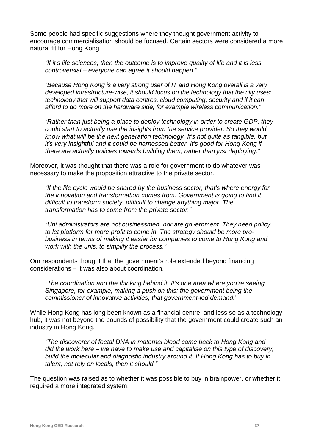Some people had specific suggestions where they thought government activity to encourage commercialisation should be focused. Certain sectors were considered a more natural fit for Hong Kong.

*"If it's life sciences, then the outcome is to improve quality of life and it is less controversial – everyone can agree it should happen."*

*"Because Hong Kong is a very strong user of IT and Hong Kong overall is a very developed infrastructure-wise, it should focus on the technology that the city uses: technology that will support data centres, cloud computing, security and if it can afford to do more on the hardware side, for example wireless communication."*

*"Rather than just being a place to deploy technology in order to create GDP, they could start to actually use the insights from the service provider. So they would know what will be the next generation technology. It's not quite as tangible, but it's very insightful and it could be harnessed better. It's good for Hong Kong if there are actually policies towards building them, rather than just deploying."*

Moreover, it was thought that there was a role for government to do whatever was necessary to make the proposition attractive to the private sector.

*"If the life cycle would be shared by the business sector, that's where energy for the innovation and transformation comes from. Government is going to find it difficult to transform society, difficult to change anything major. The transformation has to come from the private sector."*

*"Uni administrators are not businessmen, nor are government. They need policy to let platform for more profit to come in. The strategy should be more probusiness in terms of making it easier for companies to come to Hong Kong and work with the unis, to simplify the process."*

Our respondents thought that the government's role extended beyond financing considerations – it was also about coordination.

*"The coordination and the thinking behind it. It's one area where you're seeing Singapore, for example, making a push on this: the government being the commissioner of innovative activities, that government-led demand."*

While Hong Kong has long been known as a financial centre, and less so as a technology hub, it was not beyond the bounds of possibility that the government could create such an industry in Hong Kong.

*"The discoverer of foetal DNA in maternal blood came back to Hong Kong and did the work here – we have to make use and capitalise on this type of discovery, build the molecular and diagnostic industry around it. If Hong Kong has to buy in talent, not rely on locals, then it should."*

The question was raised as to whether it was possible to buy in brainpower, or whether it required a more integrated system.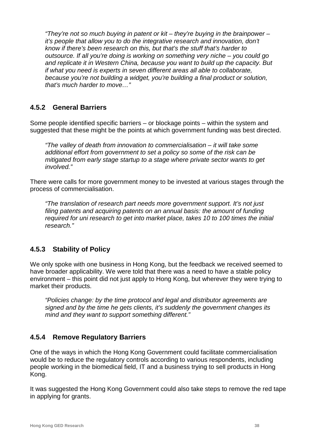*"They're not so much buying in patent or kit – they're buying in the brainpower – it's people that allow you to do the integrative research and innovation, don't know if there's been research on this, but that's the stuff that's harder to outsource. If all you're doing is working on something very niche – you could go and replicate it in Western China, because you want to build up the capacity. But if what you need is experts in seven different areas all able to collaborate, because you're not building a widget, you're building a final product or solution, that's much harder to move…"*

#### **4.5.2 General Barriers**

Some people identified specific barriers – or blockage points – within the system and suggested that these might be the points at which government funding was best directed.

*"The valley of death from innovation to commercialisation – it will take some additional effort from government to set a policy so some of the risk can be mitigated from early stage startup to a stage where private sector wants to get involved."*

There were calls for more government money to be invested at various stages through the process of commercialisation.

*"The translation of research part needs more government support. It's not just filing patents and acquiring patents on an annual basis: the amount of funding required for uni research to get into market place, takes 10 to 100 times the initial research."*

#### **4.5.3 Stability of Policy**

We only spoke with one business in Hong Kong, but the feedback we received seemed to have broader applicability. We were told that there was a need to have a stable policy environment – this point did not just apply to Hong Kong, but wherever they were trying to market their products.

*"Policies change: by the time protocol and legal and distributor agreements are signed and by the time he gets clients, it's suddenly the government changes its mind and they want to support something different."*

#### **4.5.4 Remove Regulatory Barriers**

One of the ways in which the Hong Kong Government could facilitate commercialisation would be to reduce the regulatory controls according to various respondents, including people working in the biomedical field, IT and a business trying to sell products in Hong Kong.

It was suggested the Hong Kong Government could also take steps to remove the red tape in applying for grants.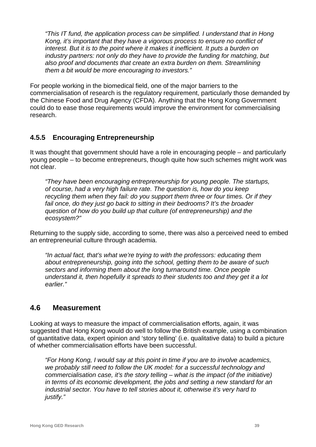*"This IT fund, the application process can be simplified. I understand that in Hong Kong, it's important that they have a vigorous process to ensure no conflict of interest. But it is to the point where it makes it inefficient. It puts a burden on industry partners: not only do they have to provide the funding for matching, but also proof and documents that create an extra burden on them. Streamlining them a bit would be more encouraging to investors."*

For people working in the biomedical field, one of the major barriers to the commercialisation of research is the regulatory requirement, particularly those demanded by the Chinese Food and Drug Agency (CFDA). Anything that the Hong Kong Government could do to ease those requirements would improve the environment for commercialising research.

## **4.5.5 Encouraging Entrepreneurship**

It was thought that government should have a role in encouraging people – and particularly young people – to become entrepreneurs, though quite how such schemes might work was not clear.

*"They have been encouraging entrepreneurship for young people. The startups, of course, had a very high failure rate. The question is, how do you keep recycling them when they fail: do you support them three or four times. Or if they fail once, do they just go back to sitting in their bedrooms? It's the broader question of how do you build up that culture (of entrepreneurship) and the ecosystem?"*

Returning to the supply side, according to some, there was also a perceived need to embed an entrepreneurial culture through academia.

*"In actual fact, that's what we're trying to with the professors: educating them about entrepreneurship, going into the school, getting them to be aware of such sectors and informing them about the long turnaround time. Once people understand it, then hopefully it spreads to their students too and they get it a lot earlier."*

#### **4.6 Measurement**

Looking at ways to measure the impact of commercialisation efforts, again, it was suggested that Hong Kong would do well to follow the British example, using a combination of quantitative data, expert opinion and 'story telling' (i.e. qualitative data) to build a picture of whether commercialisation efforts have been successful.

*"For Hong Kong, I would say at this point in time if you are to involve academics, we probably still need to follow the UK model: for a successful technology and commercialisation case, it's the story telling – what is the impact (of the initiative) in terms of its economic development, the jobs and setting a new standard for an industrial sector. You have to tell stories about it, otherwise it's very hard to justify."*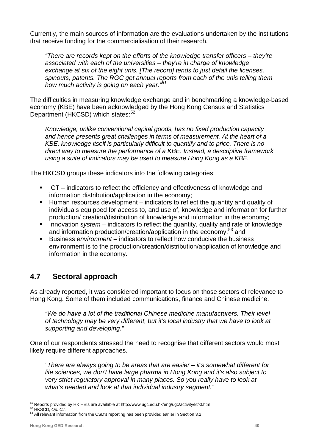Currently, the main sources of information are the evaluations undertaken by the institutions that receive funding for the commercialisation of their research.

*"There are records kept on the efforts of the knowledge transfer officers – they're associated with each of the universities – they're in charge of knowledge exchange at six of the eight unis. [The record] tends to just detail the licenses, spinouts, patents. The RGC get annual reports from each of the unis telling them how much activity is going on each year."[51](#page-40-0)*

The difficulties in measuring knowledge exchange and in benchmarking a knowledge-based economy (KBE) have been acknowledged by the Hong Kong Census and Statistics Department (HKCSD) which states:<sup>[52](#page-40-1)</sup>

*Knowledge, unlike conventional capital goods, has no fixed production capacity and hence presents great challenges in terms of measurement. At the heart of a KBE, knowledge itself is particularly difficult to quantify and to price. There is no direct way to measure the performance of a KBE. Instead, a descriptive framework using a suite of indicators may be used to measure Hong Kong as a KBE.* 

The HKCSD groups these indicators into the following categories:

- ICT indicators to reflect the efficiency and effectiveness of knowledge and information distribution/application in the economy;
- Human resources development indicators to reflect the quantity and quality of individuals equipped for access to, and use of, knowledge and information for further production/ creation/distribution of knowledge and information in the economy;
- Innovation *system* indicators to reflect the quantity, quality and rate of knowledge and information production/creation/application in the economy; [53](#page-40-2) and
- Business *environment*  indicators to reflect how conducive the business environment is to the production/creation/distribution/application of knowledge and information in the economy.

# **4.7 Sectoral approach**

As already reported, it was considered important to focus on those sectors of relevance to Hong Kong. Some of them included communications, finance and Chinese medicine.

*"We do have a lot of the traditional Chinese medicine manufacturers. Their level of technology may be very different, but it's local industry that we have to look at supporting and developing."*

One of our respondents stressed the need to recognise that different sectors would most likely require different approaches.

*"There are always going to be areas that are easier – it's somewhat different for life sciences, we don't have large pharma in Hong Kong and it's also subject to very strict regulatory approval in many places. So you really have to look at what's needed and look at that individual industry segment."*

<span id="page-40-0"></span><sup>&</sup>lt;sup>51</sup> Reports provided by HK HEIs are available at http://www.ugc.edu.hk/eng/ugc/activity/kt/kt.htm <sup>52</sup> HKSCD, *Op. Cit.*<br><sup>53</sup> All relevant information from the CSD's reporting has been provided earlier in Section 3.2

<span id="page-40-1"></span>

<span id="page-40-2"></span>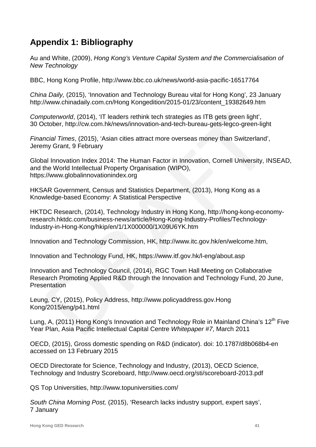# **Appendix 1: Bibliography**

Au and White, (2009), *Hong Kong's Venture Capital System and the Commercialisation of New Technology*

BBC, Hong Kong Profile, http://www.bbc.co.uk/news/world-asia-pacific-16517764

*China Daily,* (2015), 'Innovation and Technology Bureau vital for Hong Kong', 23 January [http://www.chinadaily.com.cn/Hong Kongedition/2015-01/23/content\\_19382649.htm](http://www.chinadaily.com.cn/%20%20%20%20Hong%20Kongedition/2015-01/23/content_19382649.htm)

*Computerworld*, (2014), ['IT leaders rethink tech strategies as ITB gets green light'](http://cw.com.hk/news/innovation-and-tech-bureau-gets-legco-green-light), 30 October,<http://cw.com.hk/news/innovation-and-tech-bureau-gets-legco-green-light>

*Financial Times*, (2015), 'Asian cities attract more overseas money than Switzerland', Jeremy Grant, 9 February

Global Innovation Index 2014: The Human Factor in Innovation, Cornell University, INSEAD, and the World Intellectual Property Organisation (WIPO), https://www.globalinnovationindex.org

HKSAR Government, Census and Statistics Department, (2013), Hong Kong as a Knowledge-based Economy: A Statistical Perspective

HKTDC Research, (2014), Technology Industry in Hong Kong, http://hong-kong-economyresearch.hktdc.com/business-news/article/Hong-Kong-Industry-Profiles/Technology-Industry-in-Hong-Kong/hkip/en/1/1X000000/1X09U6YK.htm

Innovation and Technology Commission, HK, http://www.itc.gov.hk/en/welcome.htm,

Innovation and Technology Fund, HK, https://www.itf.gov.hk/l-eng/about.asp

Innovation and Technology Council, (2014), RGC Town Hall Meeting on Collaborative Research Promoting Applied R&D through the Innovation and Technology Fund, 20 June, **Presentation** 

Leung, CY, (2015), Policy Address, [http://www.policyaddress.gov.Hong](http://www.policyaddress.gov.hk/2015/eng/p41.html)  [Kong/2015/eng/p41.html](http://www.policyaddress.gov.hk/2015/eng/p41.html)

Lung, A, (2011) Hong Kong's Innovation and Technology Role in Mainland China's  $12<sup>th</sup>$  Five Year Plan, Asia Pacific Intellectual Capital Centre *Whitepaper #7*, March 2011

OECD, (2015), Gross domestic spending on R&D (indicator). doi: 10.1787/d8b068b4-en accessed on 13 February 2015

OECD Directorate for Science, Technology and Industry, (2013), OECD Science, Technology and Industry Scoreboard, http://www.oecd.org/sti/scoreboard-2013.pdf

QS Top Universities, http://www.topuniversities.com/

*South China Morning Post,* (2015), 'Research lacks industry support, expert says', 7 January